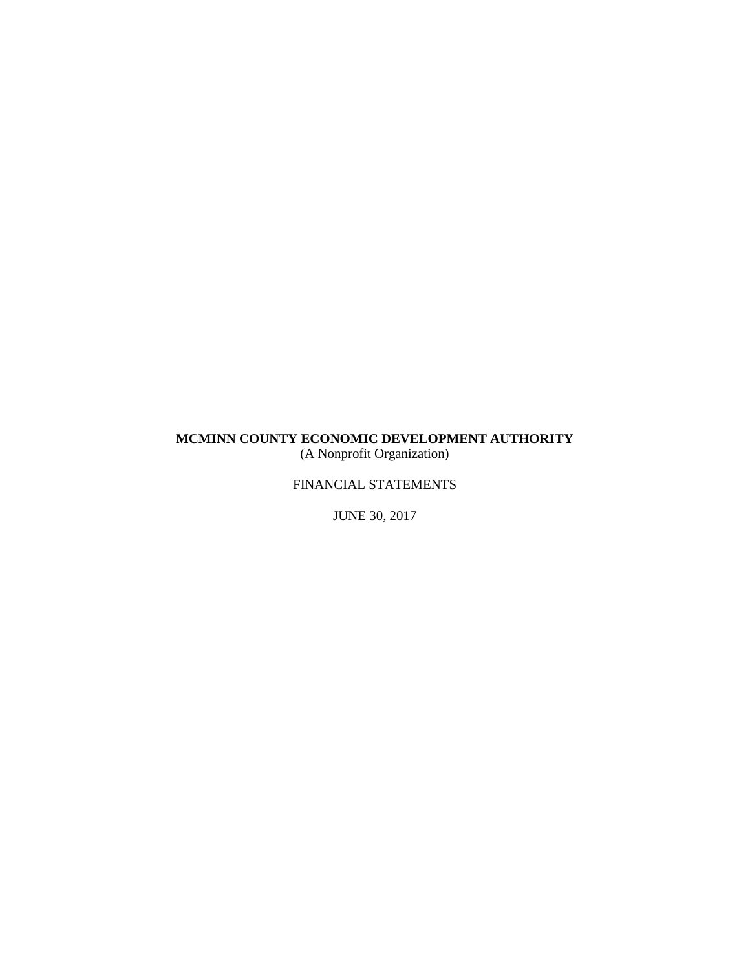#### **MCMINN COUNTY ECONOMIC DEVELOPMENT AUTHORITY** (A Nonprofit Organization)

FINANCIAL STATEMENTS

JUNE 30, 2017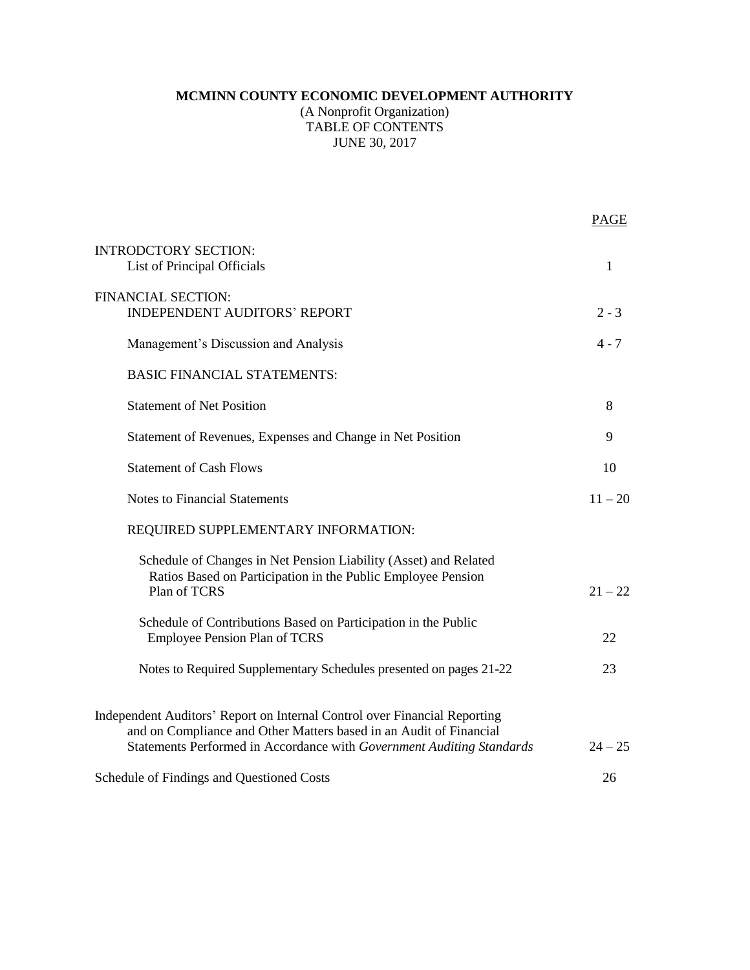(A Nonprofit Organization) TABLE OF CONTENTS JUNE 30, 2017

|                                                                                                                                                                                                                          | PAGE      |
|--------------------------------------------------------------------------------------------------------------------------------------------------------------------------------------------------------------------------|-----------|
| <b>INTRODCTORY SECTION:</b><br>List of Principal Officials                                                                                                                                                               | 1         |
| FINANCIAL SECTION:<br><b>INDEPENDENT AUDITORS' REPORT</b>                                                                                                                                                                | $2 - 3$   |
| Management's Discussion and Analysis                                                                                                                                                                                     | $4 - 7$   |
| <b>BASIC FINANCIAL STATEMENTS:</b>                                                                                                                                                                                       |           |
| <b>Statement of Net Position</b>                                                                                                                                                                                         | 8         |
| Statement of Revenues, Expenses and Change in Net Position                                                                                                                                                               | 9         |
| <b>Statement of Cash Flows</b>                                                                                                                                                                                           | 10        |
| <b>Notes to Financial Statements</b>                                                                                                                                                                                     | $11 - 20$ |
| REQUIRED SUPPLEMENTARY INFORMATION:                                                                                                                                                                                      |           |
| Schedule of Changes in Net Pension Liability (Asset) and Related<br>Ratios Based on Participation in the Public Employee Pension<br>Plan of TCRS                                                                         | $21 - 22$ |
| Schedule of Contributions Based on Participation in the Public<br><b>Employee Pension Plan of TCRS</b>                                                                                                                   | 22        |
| Notes to Required Supplementary Schedules presented on pages 21-22                                                                                                                                                       | 23        |
| Independent Auditors' Report on Internal Control over Financial Reporting<br>and on Compliance and Other Matters based in an Audit of Financial<br>Statements Performed in Accordance with Government Auditing Standards | $24 - 25$ |
| Schedule of Findings and Questioned Costs                                                                                                                                                                                | 26        |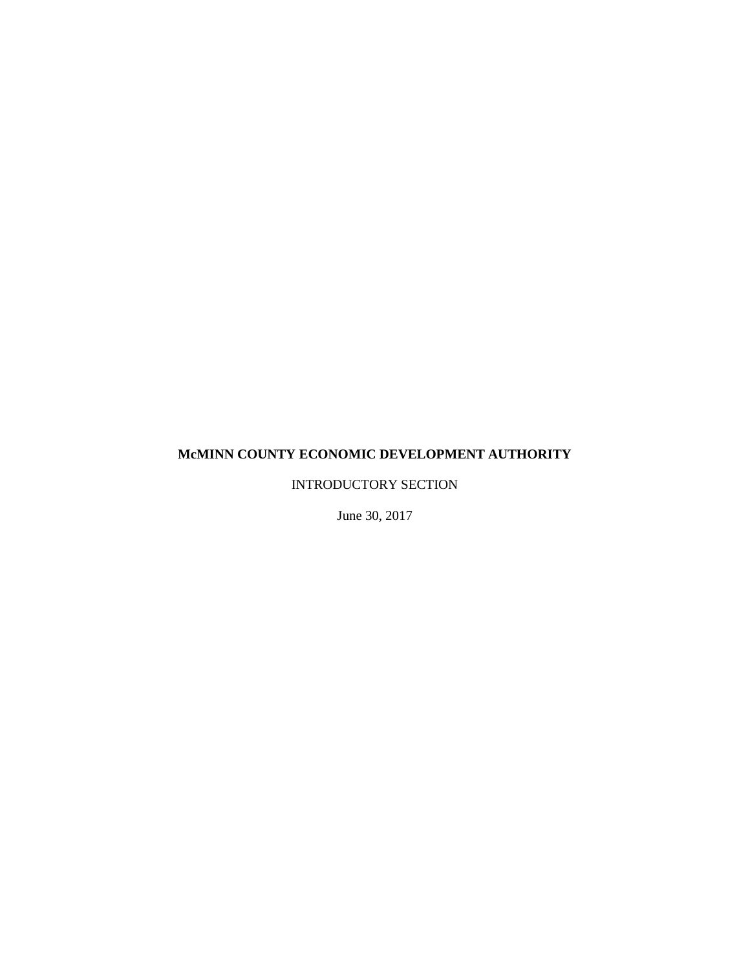INTRODUCTORY SECTION

June 30, 2017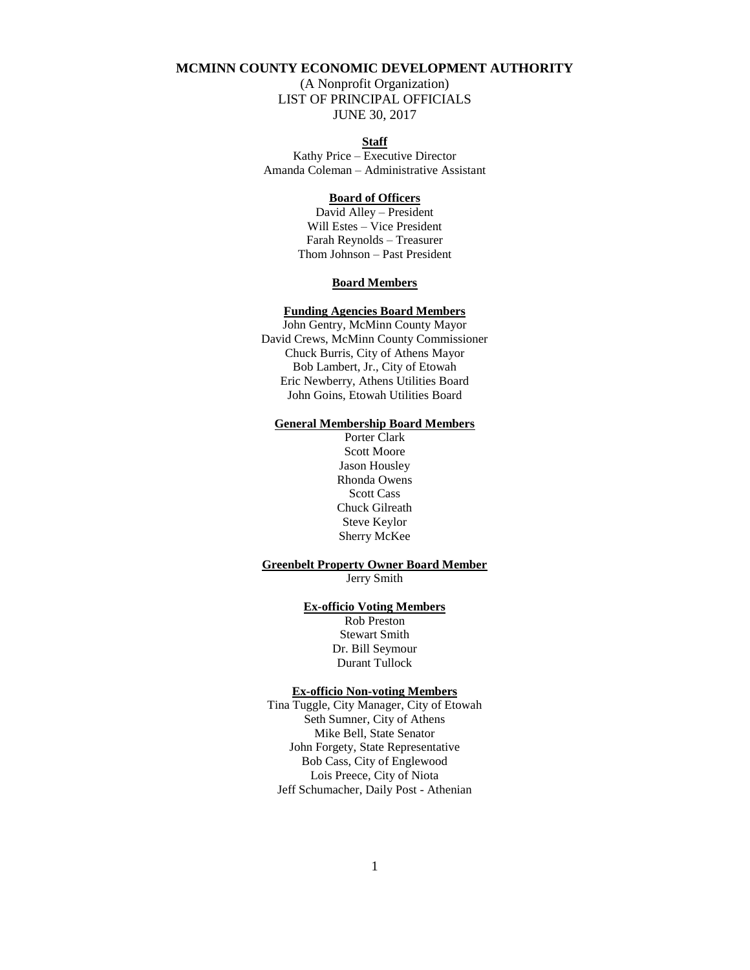(A Nonprofit Organization) LIST OF PRINCIPAL OFFICIALS JUNE 30, 2017

#### **Staff**

Kathy Price – Executive Director Amanda Coleman – Administrative Assistant

#### **Board of Officers**

David Alley – President Will Estes – Vice President Farah Reynolds – Treasurer Thom Johnson – Past President

#### **Board Members**

#### **Funding Agencies Board Members**

John Gentry, McMinn County Mayor David Crews, McMinn County Commissioner Chuck Burris, City of Athens Mayor Bob Lambert, Jr., City of Etowah Eric Newberry, Athens Utilities Board John Goins, Etowah Utilities Board

#### **General Membership Board Members**

Porter Clark Scott Moore Jason Housley Rhonda Owens Scott Cass Chuck Gilreath Steve Keylor Sherry McKee

## **Greenbelt Property Owner Board Member**

Jerry Smith

#### **Ex-officio Voting Members**

Rob Preston Stewart Smith Dr. Bill Seymour Durant Tullock

#### **Ex-officio Non-voting Members**

Tina Tuggle, City Manager, City of Etowah Seth Sumner, City of Athens Mike Bell, State Senator John Forgety, State Representative Bob Cass, City of Englewood Lois Preece, City of Niota Jeff Schumacher, Daily Post - Athenian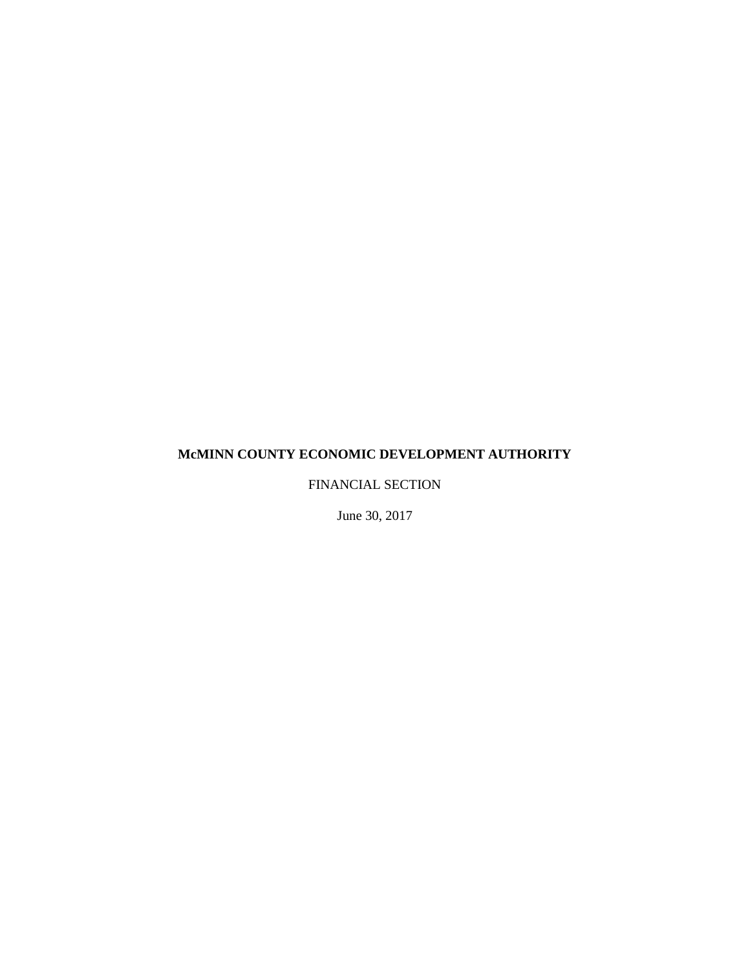FINANCIAL SECTION

June 30, 2017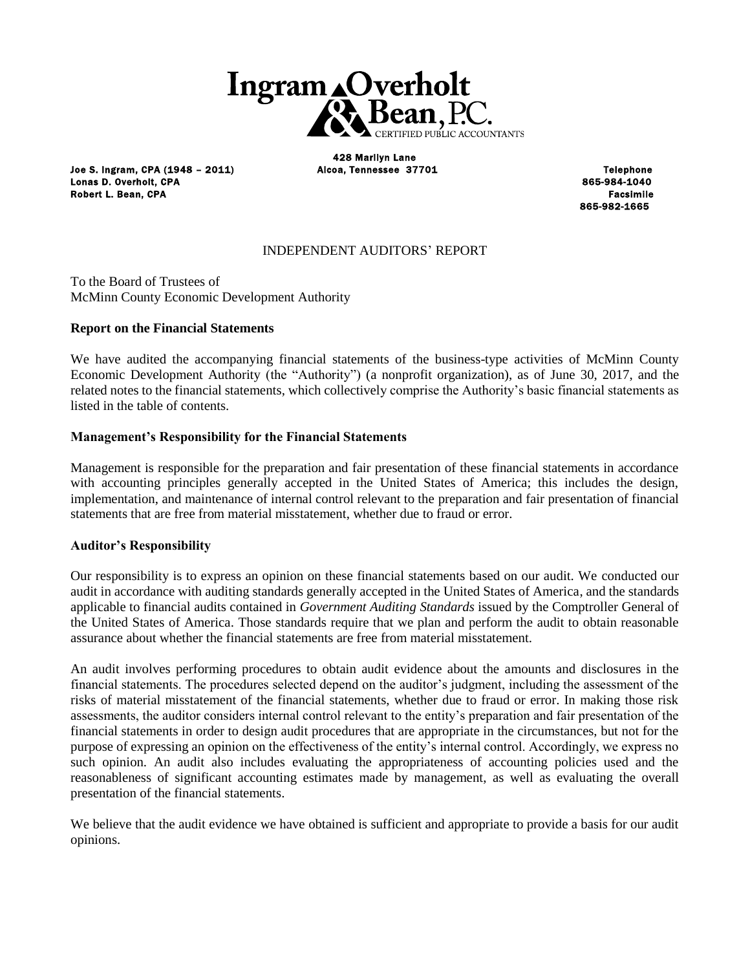

428 Marilyn Lane

Joe S. Ingram, CPA (1948 – 2011) Alcoa, Tennessee 37701 Telephone Lonas D. Overholt, CPA 865-984-1040 Robert L. Bean, CPA Facsimile Service Controllers and the service of the service of the service of the service of the service of the service of the service of the service of the service of the service of the service of the

865-982-1665

### INDEPENDENT AUDITORS' REPORT

To the Board of Trustees of McMinn County Economic Development Authority

### **Report on the Financial Statements**

We have audited the accompanying financial statements of the business-type activities of McMinn County Economic Development Authority (the "Authority") (a nonprofit organization), as of June 30, 2017, and the related notes to the financial statements, which collectively comprise the Authority's basic financial statements as listed in the table of contents.

#### **Management's Responsibility for the Financial Statements**

Management is responsible for the preparation and fair presentation of these financial statements in accordance with accounting principles generally accepted in the United States of America; this includes the design, implementation, and maintenance of internal control relevant to the preparation and fair presentation of financial statements that are free from material misstatement, whether due to fraud or error.

### **Auditor's Responsibility**

Our responsibility is to express an opinion on these financial statements based on our audit. We conducted our audit in accordance with auditing standards generally accepted in the United States of America, and the standards applicable to financial audits contained in *Government Auditing Standards* issued by the Comptroller General of the United States of America. Those standards require that we plan and perform the audit to obtain reasonable assurance about whether the financial statements are free from material misstatement.

An audit involves performing procedures to obtain audit evidence about the amounts and disclosures in the financial statements. The procedures selected depend on the auditor's judgment, including the assessment of the risks of material misstatement of the financial statements, whether due to fraud or error. In making those risk assessments, the auditor considers internal control relevant to the entity's preparation and fair presentation of the financial statements in order to design audit procedures that are appropriate in the circumstances, but not for the purpose of expressing an opinion on the effectiveness of the entity's internal control. Accordingly, we express no such opinion. An audit also includes evaluating the appropriateness of accounting policies used and the reasonableness of significant accounting estimates made by management, as well as evaluating the overall presentation of the financial statements.

We believe that the audit evidence we have obtained is sufficient and appropriate to provide a basis for our audit opinions.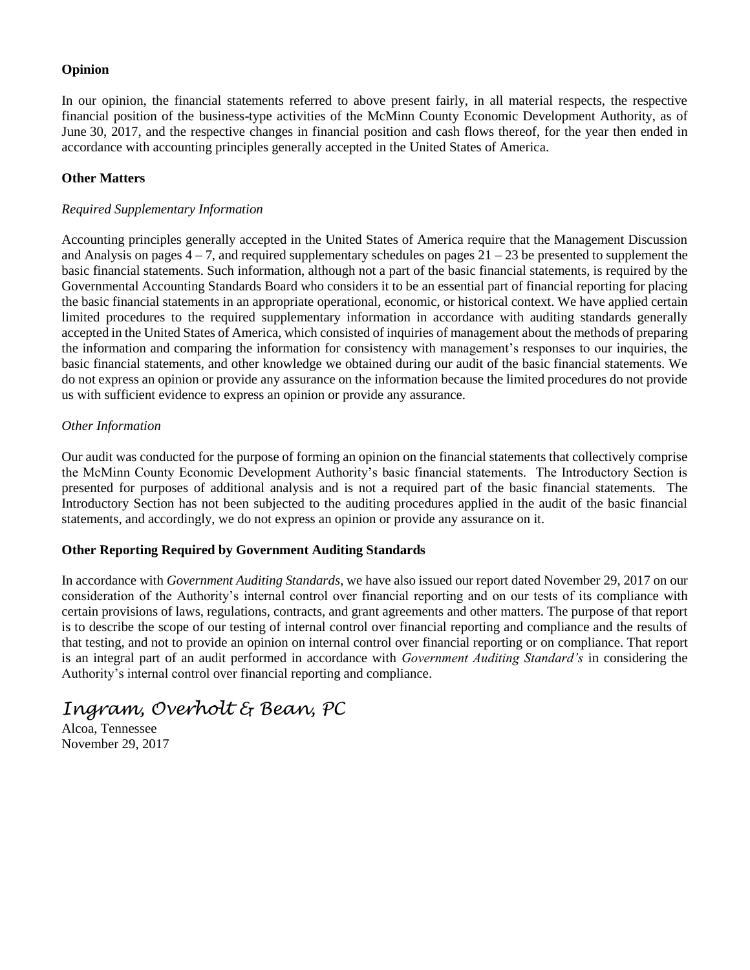### **Opinion**

In our opinion, the financial statements referred to above present fairly, in all material respects, the respective financial position of the business-type activities of the McMinn County Economic Development Authority, as of June 30, 2017, and the respective changes in financial position and cash flows thereof, for the year then ended in accordance with accounting principles generally accepted in the United States of America.

#### **Other Matters**

#### *Required Supplementary Information*

Accounting principles generally accepted in the United States of America require that the Management Discussion and Analysis on pages  $4 - 7$ , and required supplementary schedules on pages  $21 - 23$  be presented to supplement the basic financial statements. Such information, although not a part of the basic financial statements, is required by the Governmental Accounting Standards Board who considers it to be an essential part of financial reporting for placing the basic financial statements in an appropriate operational, economic, or historical context. We have applied certain limited procedures to the required supplementary information in accordance with auditing standards generally accepted in the United States of America, which consisted of inquiries of management about the methods of preparing the information and comparing the information for consistency with management's responses to our inquiries, the basic financial statements, and other knowledge we obtained during our audit of the basic financial statements. We do not express an opinion or provide any assurance on the information because the limited procedures do not provide us with sufficient evidence to express an opinion or provide any assurance.

### *Other Information*

Our audit was conducted for the purpose of forming an opinion on the financial statements that collectively comprise the McMinn County Economic Development Authority's basic financial statements. The Introductory Section is presented for purposes of additional analysis and is not a required part of the basic financial statements. The Introductory Section has not been subjected to the auditing procedures applied in the audit of the basic financial statements, and accordingly, we do not express an opinion or provide any assurance on it.

### **Other Reporting Required by Government Auditing Standards**

In accordance with *Government Auditing Standards*, we have also issued our report dated November 29, 2017 on our consideration of the Authority's internal control over financial reporting and on our tests of its compliance with certain provisions of laws, regulations, contracts, and grant agreements and other matters. The purpose of that report is to describe the scope of our testing of internal control over financial reporting and compliance and the results of that testing, and not to provide an opinion on internal control over financial reporting or on compliance. That report is an integral part of an audit performed in accordance with *Government Auditing Standard's* in considering the Authority's internal control over financial reporting and compliance.

# *Ingram, Overholt & Bean, PC*

Alcoa, Tennessee November 29, 2017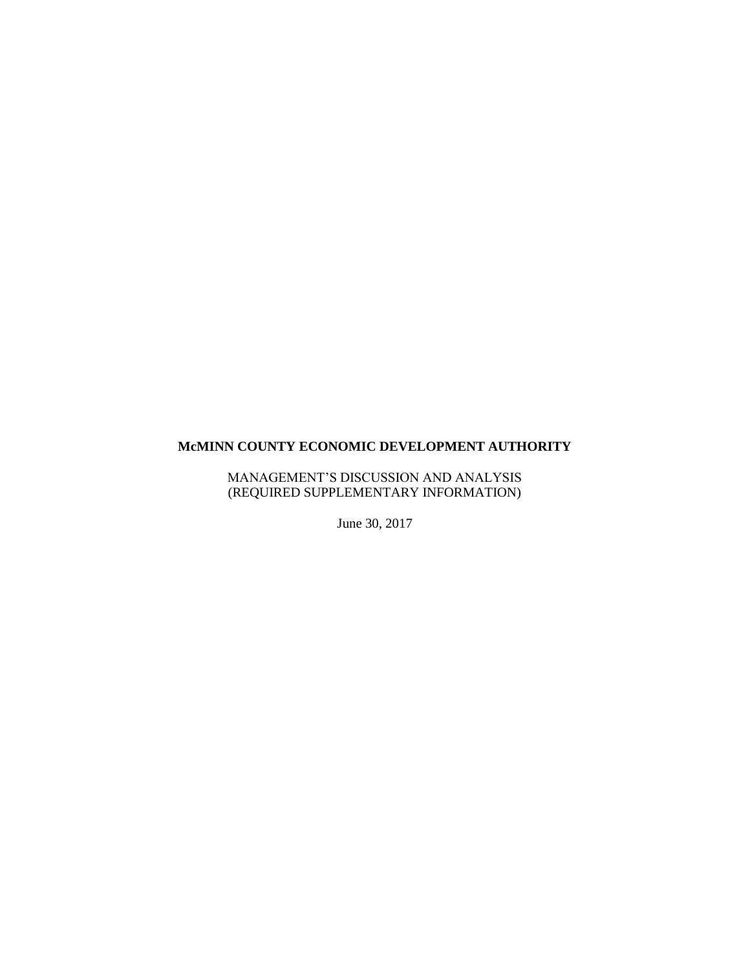MANAGEMENT'S DISCUSSION AND ANALYSIS (REQUIRED SUPPLEMENTARY INFORMATION)

June 30, 2017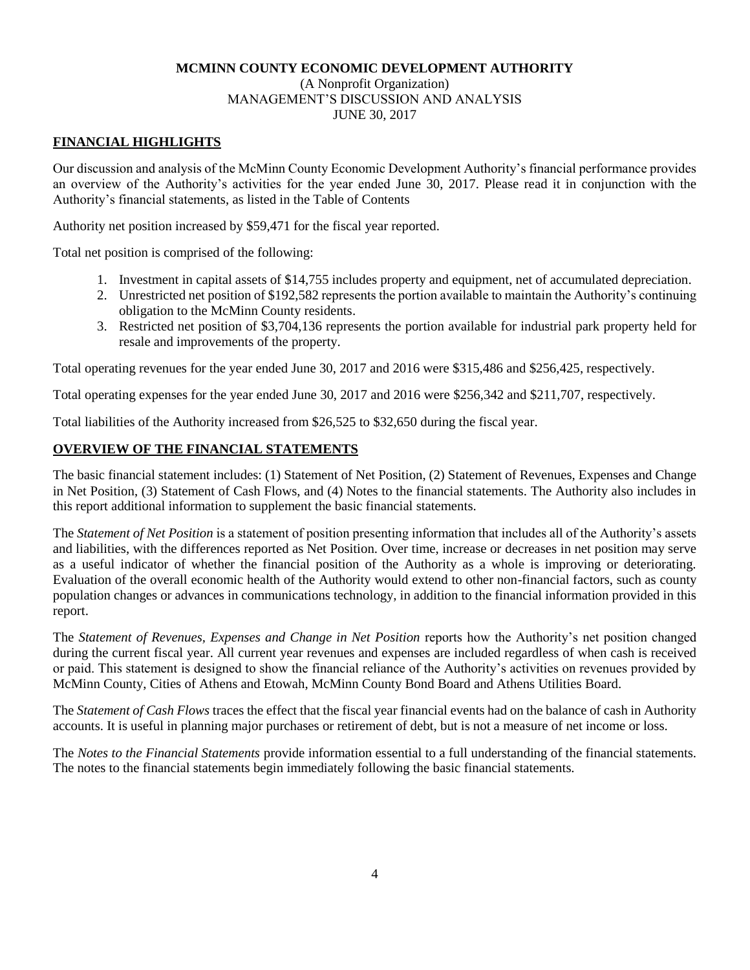#### **MCMINN COUNTY ECONOMIC DEVELOPMENT AUTHORITY** (A Nonprofit Organization) MANAGEMENT'S DISCUSSION AND ANALYSIS

JUNE 30, 2017

## **FINANCIAL HIGHLIGHTS**

Our discussion and analysis of the McMinn County Economic Development Authority's financial performance provides an overview of the Authority's activities for the year ended June 30, 2017. Please read it in conjunction with the Authority's financial statements, as listed in the Table of Contents

Authority net position increased by \$59,471 for the fiscal year reported.

Total net position is comprised of the following:

- 1. Investment in capital assets of \$14,755 includes property and equipment, net of accumulated depreciation.
- 2. Unrestricted net position of \$192,582 represents the portion available to maintain the Authority's continuing obligation to the McMinn County residents.
- 3. Restricted net position of \$3,704,136 represents the portion available for industrial park property held for resale and improvements of the property.

Total operating revenues for the year ended June 30, 2017 and 2016 were \$315,486 and \$256,425, respectively.

Total operating expenses for the year ended June 30, 2017 and 2016 were \$256,342 and \$211,707, respectively.

Total liabilities of the Authority increased from \$26,525 to \$32,650 during the fiscal year.

### **OVERVIEW OF THE FINANCIAL STATEMENTS**

The basic financial statement includes: (1) Statement of Net Position, (2) Statement of Revenues, Expenses and Change in Net Position, (3) Statement of Cash Flows, and (4) Notes to the financial statements. The Authority also includes in this report additional information to supplement the basic financial statements.

The *Statement of Net Position* is a statement of position presenting information that includes all of the Authority's assets and liabilities, with the differences reported as Net Position. Over time, increase or decreases in net position may serve as a useful indicator of whether the financial position of the Authority as a whole is improving or deteriorating. Evaluation of the overall economic health of the Authority would extend to other non-financial factors, such as county population changes or advances in communications technology, in addition to the financial information provided in this report.

The *Statement of Revenues, Expenses and Change in Net Position* reports how the Authority's net position changed during the current fiscal year. All current year revenues and expenses are included regardless of when cash is received or paid. This statement is designed to show the financial reliance of the Authority's activities on revenues provided by McMinn County, Cities of Athens and Etowah, McMinn County Bond Board and Athens Utilities Board.

The *Statement of Cash Flows* traces the effect that the fiscal year financial events had on the balance of cash in Authority accounts. It is useful in planning major purchases or retirement of debt, but is not a measure of net income or loss.

The *Notes to the Financial Statements* provide information essential to a full understanding of the financial statements. The notes to the financial statements begin immediately following the basic financial statements.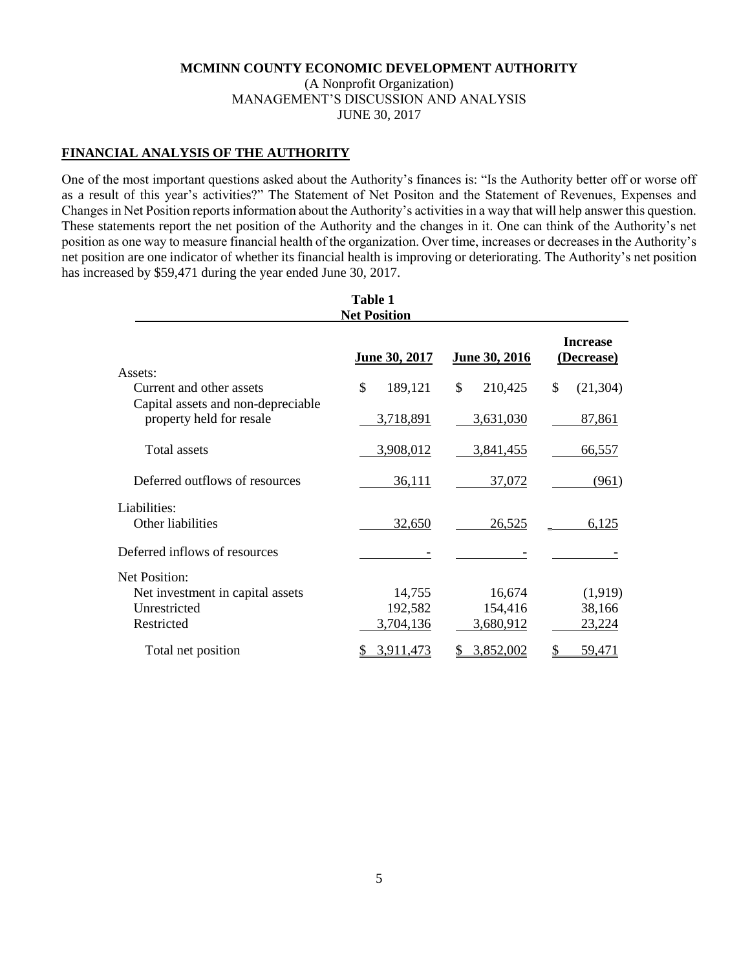(A Nonprofit Organization) MANAGEMENT'S DISCUSSION AND ANALYSIS JUNE 30, 2017

#### **FINANCIAL ANALYSIS OF THE AUTHORITY**

One of the most important questions asked about the Authority's finances is: "Is the Authority better off or worse off as a result of this year's activities?" The Statement of Net Positon and the Statement of Revenues, Expenses and Changes in Net Position reports information about the Authority's activities in a way that will help answer this question. These statements report the net position of the Authority and the changes in it. One can think of the Authority's net position as one way to measure financial health of the organization. Over time, increases or decreases in the Authority's net position are one indicator of whether its financial health is improving or deteriorating. The Authority's net position has increased by \$59,471 during the year ended June 30, 2017.

| <b>Table 1</b><br><b>Net Position</b>                                           |                                |                                |                               |  |  |
|---------------------------------------------------------------------------------|--------------------------------|--------------------------------|-------------------------------|--|--|
|                                                                                 | June 30, 2017                  | <b>June 30, 2016</b>           | <b>Increase</b><br>(Decrease) |  |  |
| Assets:<br>Current and other assets                                             | \$<br>189,121                  | \$<br>210,425                  | \$<br>(21, 304)               |  |  |
| Capital assets and non-depreciable<br>property held for resale                  | 3,718,891                      | 3,631,030                      | 87,861                        |  |  |
| <b>Total assets</b>                                                             | 3,908,012                      | 3,841,455                      | 66,557                        |  |  |
| Deferred outflows of resources                                                  | 36,111                         | 37,072                         | (961)                         |  |  |
| Liabilities:<br>Other liabilities                                               | 32,650                         | 26,525                         | 6,125                         |  |  |
| Deferred inflows of resources                                                   |                                |                                |                               |  |  |
| Net Position:<br>Net investment in capital assets<br>Unrestricted<br>Restricted | 14,755<br>192,582<br>3,704,136 | 16,674<br>154,416<br>3,680,912 | (1,919)<br>38,166<br>23,224   |  |  |
| Total net position                                                              | 3,911,473                      | 3,852,002                      | \$<br>59,471                  |  |  |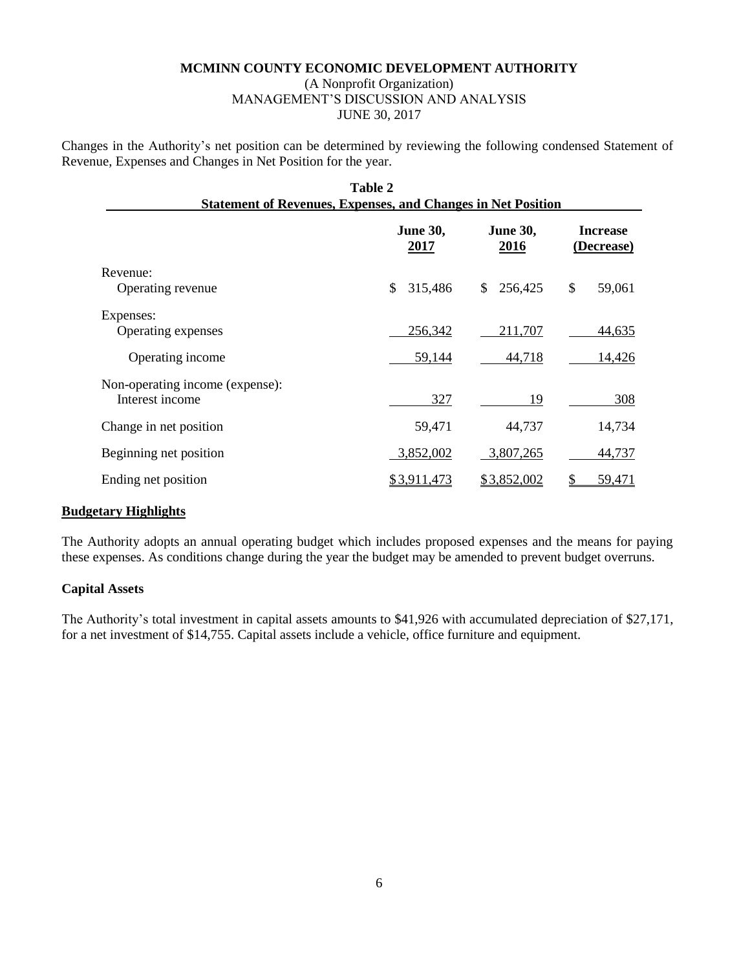#### (A Nonprofit Organization) MANAGEMENT'S DISCUSSION AND ANALYSIS JUNE 30, 2017

Changes in the Authority's net position can be determined by reviewing the following condensed Statement of Revenue, Expenses and Changes in Net Position for the year.

| <b>Table 2</b><br><b>Statement of Revenues, Expenses, and Changes in Net Position</b> |                                                    |                |                               |  |  |
|---------------------------------------------------------------------------------------|----------------------------------------------------|----------------|-------------------------------|--|--|
|                                                                                       | <b>June 30,</b><br><b>June 30,</b><br>2017<br>2016 |                | <b>Increase</b><br>(Decrease) |  |  |
| Revenue:<br>Operating revenue                                                         | \$.<br>315,486                                     | 256,425<br>\$. | \$<br>59,061                  |  |  |
| Expenses:<br>Operating expenses                                                       | 256,342                                            | 211,707        | 44,635                        |  |  |
| Operating income                                                                      | 59,144                                             | 44,718         | 14,426                        |  |  |
| Non-operating income (expense):<br>Interest income                                    | 327                                                | 19             | 308                           |  |  |
| Change in net position                                                                | 59,471                                             | 44,737         | 14,734                        |  |  |
| Beginning net position                                                                | 3,852,002                                          | 3,807,265      | 44,737                        |  |  |
| Ending net position                                                                   | <u>\$3,911,473</u>                                 | \$3,852,002    | 59,471                        |  |  |

## **Budgetary Highlights**

The Authority adopts an annual operating budget which includes proposed expenses and the means for paying these expenses. As conditions change during the year the budget may be amended to prevent budget overruns.

#### **Capital Assets**

The Authority's total investment in capital assets amounts to \$41,926 with accumulated depreciation of \$27,171, for a net investment of \$14,755. Capital assets include a vehicle, office furniture and equipment.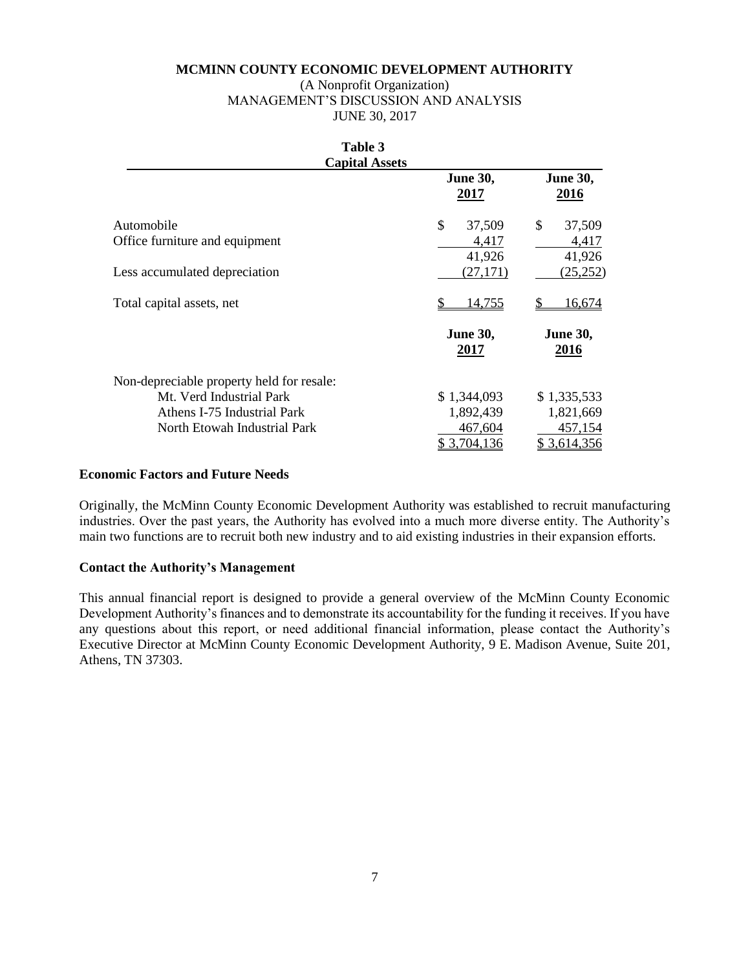#### (A Nonprofit Organization) MANAGEMENT'S DISCUSSION AND ANALYSIS JUNE 30, 2017

| Table 3                                   |                         |                         |
|-------------------------------------------|-------------------------|-------------------------|
| <b>Capital Assets</b>                     |                         |                         |
|                                           | <b>June 30,</b><br>2017 | <b>June 30,</b><br>2016 |
| Automobile                                | \$<br>37,509            | \$<br>37,509            |
| Office furniture and equipment            | 4,417<br>41,926         | 4,417<br>41,926         |
| Less accumulated depreciation             | (27, 171)               | (25, 252)               |
| Total capital assets, net                 | 14,755                  | 16,674                  |
|                                           | <b>June 30,</b><br>2017 | <b>June 30,</b><br>2016 |
| Non-depreciable property held for resale: |                         |                         |
| Mt. Verd Industrial Park                  | \$1,344,093             | \$1,335,533             |
| Athens I-75 Industrial Park               | 1,892,439               | 1,821,669               |
| North Etowah Industrial Park              | 467,604                 | 457,154                 |
|                                           | \$3,704,136             | \$3,614,356             |

#### **Economic Factors and Future Needs**

Originally, the McMinn County Economic Development Authority was established to recruit manufacturing industries. Over the past years, the Authority has evolved into a much more diverse entity. The Authority's main two functions are to recruit both new industry and to aid existing industries in their expansion efforts.

#### **Contact the Authority's Management**

This annual financial report is designed to provide a general overview of the McMinn County Economic Development Authority's finances and to demonstrate its accountability for the funding it receives. If you have any questions about this report, or need additional financial information, please contact the Authority's Executive Director at McMinn County Economic Development Authority, 9 E. Madison Avenue, Suite 201, Athens, TN 37303.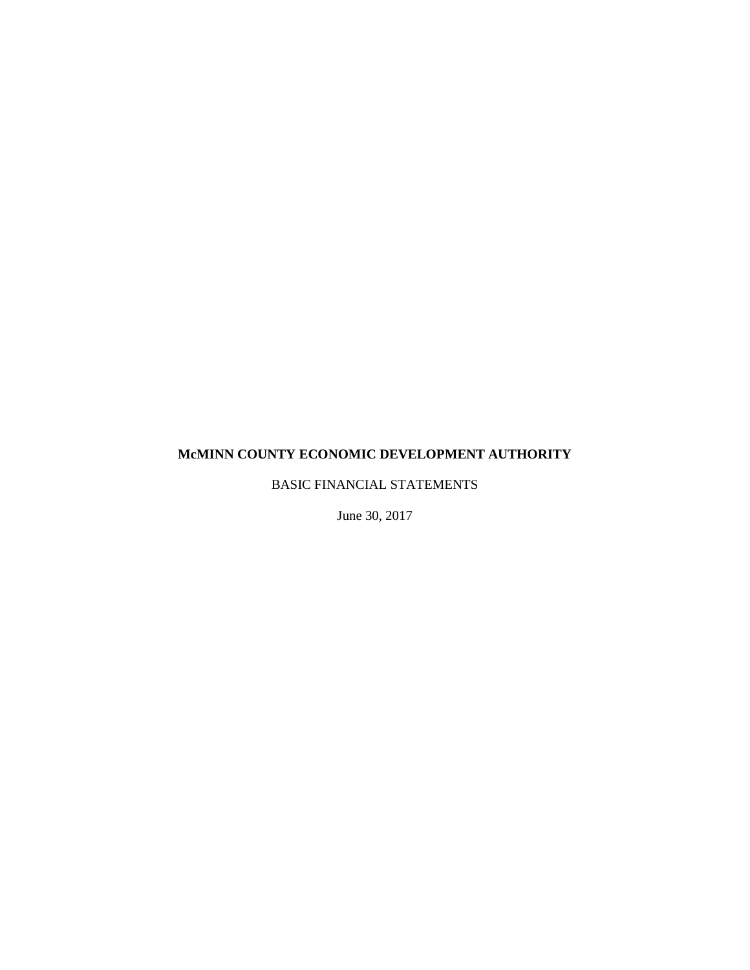BASIC FINANCIAL STATEMENTS

June 30, 2017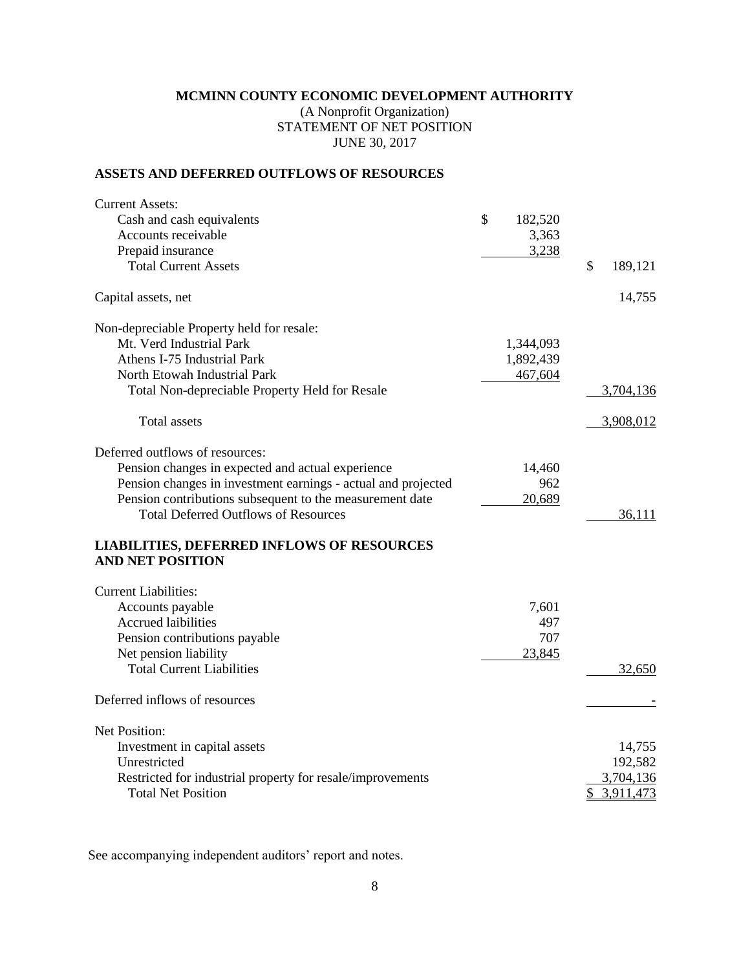## **MCMINN COUNTY ECONOMIC DEVELOPMENT AUTHORITY** (A Nonprofit Organization) STATEMENT OF NET POSITION

JUNE 30, 2017

#### **ASSETS AND DEFERRED OUTFLOWS OF RESOURCES**

| <b>Current Assets:</b><br>Cash and cash equivalents                                                     | \$<br>182,520 |                         |
|---------------------------------------------------------------------------------------------------------|---------------|-------------------------|
| Accounts receivable                                                                                     | 3,363         |                         |
| Prepaid insurance                                                                                       | 3,238         |                         |
| <b>Total Current Assets</b>                                                                             |               | $\mathbb{S}$<br>189,121 |
| Capital assets, net                                                                                     |               | 14,755                  |
| Non-depreciable Property held for resale:                                                               |               |                         |
| Mt. Verd Industrial Park                                                                                | 1,344,093     |                         |
| Athens I-75 Industrial Park                                                                             | 1,892,439     |                         |
| North Etowah Industrial Park                                                                            | 467,604       |                         |
| Total Non-depreciable Property Held for Resale                                                          |               | 3,704,136               |
| <b>Total assets</b>                                                                                     |               | 3,908,012               |
| Deferred outflows of resources:                                                                         |               |                         |
| Pension changes in expected and actual experience                                                       | 14,460        |                         |
| Pension changes in investment earnings - actual and projected                                           | 962           |                         |
| Pension contributions subsequent to the measurement date<br><b>Total Deferred Outflows of Resources</b> | 20,689        | 36,111                  |
| <b>LIABILITIES, DEFERRED INFLOWS OF RESOURCES</b><br><b>AND NET POSITION</b>                            |               |                         |
| <b>Current Liabilities:</b>                                                                             |               |                         |
| Accounts payable                                                                                        | 7,601         |                         |
| <b>Accrued laibilities</b>                                                                              | 497           |                         |
| Pension contributions payable                                                                           | 707           |                         |
| Net pension liability                                                                                   | 23,845        |                         |
| <b>Total Current Liabilities</b>                                                                        |               | 32,650                  |
| Deferred inflows of resources                                                                           |               |                         |
| Net Position:                                                                                           |               |                         |
| Investment in capital assets                                                                            |               | 14,755                  |
| Unrestricted                                                                                            |               | 192,582                 |
| Restricted for industrial property for resale/improvements                                              |               | 3,704,136               |
| <b>Total Net Position</b>                                                                               |               | \$3,911,473             |

See accompanying independent auditors' report and notes.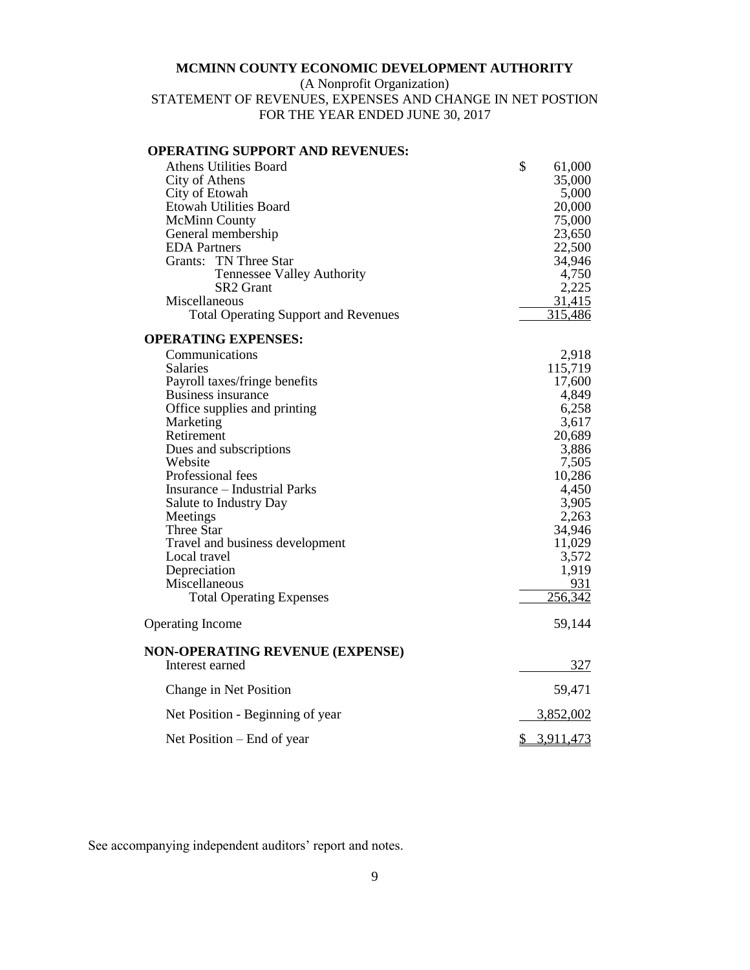## (A Nonprofit Organization) STATEMENT OF REVENUES, EXPENSES AND CHANGE IN NET POSTION FOR THE YEAR ENDED JUNE 30, 2017

### **OPERATING SUPPORT AND REVENUES:**

| <b>Athens Utilities Board</b><br>City of Athens<br>City of Etowah<br><b>Etowah Utilities Board</b><br><b>McMinn County</b><br>General membership<br><b>EDA</b> Partners<br>Grants: TN Three Star<br>Tennessee Valley Authority                                                                                                                                                                                                  | \$<br>61,000<br>35,000<br>5,000<br>20,000<br>75,000<br>23,650<br>22,500<br>34,946<br>4,750                                                                                     |
|---------------------------------------------------------------------------------------------------------------------------------------------------------------------------------------------------------------------------------------------------------------------------------------------------------------------------------------------------------------------------------------------------------------------------------|--------------------------------------------------------------------------------------------------------------------------------------------------------------------------------|
| SR <sub>2</sub> Grant<br>Miscellaneous<br><b>Total Operating Support and Revenues</b>                                                                                                                                                                                                                                                                                                                                           | 2,225<br>31,415<br>315,486                                                                                                                                                     |
| <b>OPERATING EXPENSES:</b>                                                                                                                                                                                                                                                                                                                                                                                                      |                                                                                                                                                                                |
| Communications<br>Salaries<br>Payroll taxes/fringe benefits<br><b>Business insurance</b><br>Office supplies and printing<br>Marketing<br>Retirement<br>Dues and subscriptions<br>Website<br>Professional fees<br><b>Insurance</b> – Industrial Parks<br>Salute to Industry Day<br>Meetings<br>Three Star<br>Travel and business development<br>Local travel<br>Depreciation<br>Miscellaneous<br><b>Total Operating Expenses</b> | 2,918<br>115,719<br>17,600<br>4,849<br>6,258<br>3,617<br>20,689<br>3,886<br>7,505<br>10,286<br>4,450<br>3,905<br>2,263<br>34,946<br>11,029<br>3,572<br>1,919<br>931<br>256,342 |
| <b>Operating Income</b>                                                                                                                                                                                                                                                                                                                                                                                                         | 59,144                                                                                                                                                                         |
| NON-OPERATING REVENUE (EXPENSE)<br>Interest earned                                                                                                                                                                                                                                                                                                                                                                              | 327                                                                                                                                                                            |
| Change in Net Position                                                                                                                                                                                                                                                                                                                                                                                                          | 59,471                                                                                                                                                                         |
| Net Position - Beginning of year                                                                                                                                                                                                                                                                                                                                                                                                | 3,852,002                                                                                                                                                                      |
| Net Position – End of year                                                                                                                                                                                                                                                                                                                                                                                                      | <u>\$3,911,473</u>                                                                                                                                                             |

See accompanying independent auditors' report and notes.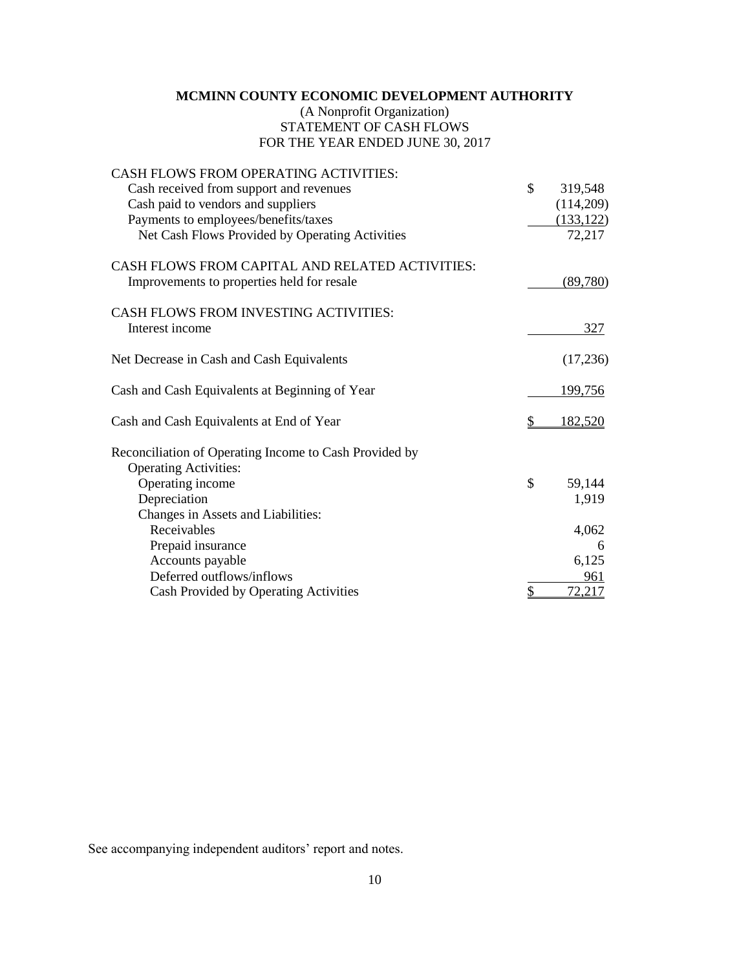## (A Nonprofit Organization) STATEMENT OF CASH FLOWS FOR THE YEAR ENDED JUNE 30, 2017

| <b>CASH FLOWS FROM OPERATING ACTIVITIES:</b>           |              |            |
|--------------------------------------------------------|--------------|------------|
| Cash received from support and revenues                | $\mathbb{S}$ | 319,548    |
| Cash paid to vendors and suppliers                     |              | (114,209)  |
| Payments to employees/benefits/taxes                   |              | (133, 122) |
| Net Cash Flows Provided by Operating Activities        |              | 72,217     |
| CASH FLOWS FROM CAPITAL AND RELATED ACTIVITIES:        |              |            |
| Improvements to properties held for resale             |              | (89,780)   |
| <b>CASH FLOWS FROM INVESTING ACTIVITIES:</b>           |              |            |
| Interest income                                        |              | 327        |
| Net Decrease in Cash and Cash Equivalents              |              | (17,236)   |
| Cash and Cash Equivalents at Beginning of Year         |              | 199,756    |
| Cash and Cash Equivalents at End of Year               |              | 182,520    |
| Reconciliation of Operating Income to Cash Provided by |              |            |
| <b>Operating Activities:</b>                           |              |            |
| Operating income                                       | \$           | 59,144     |
| Depreciation                                           |              | 1,919      |
| Changes in Assets and Liabilities:                     |              |            |
| Receivables                                            |              | 4,062      |
| Prepaid insurance                                      |              | 6          |
| Accounts payable                                       |              | 6,125      |
| Deferred outflows/inflows                              |              | 961        |
| Cash Provided by Operating Activities                  | \$           | 72,217     |

See accompanying independent auditors' report and notes.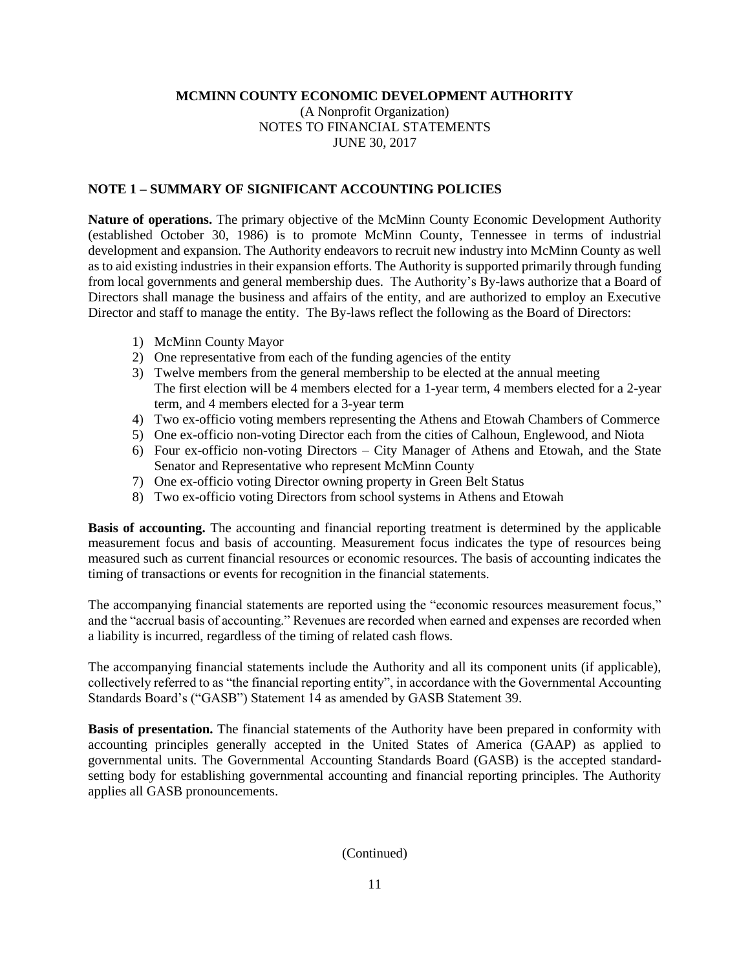(A Nonprofit Organization) NOTES TO FINANCIAL STATEMENTS JUNE 30, 2017

#### **NOTE 1 – SUMMARY OF SIGNIFICANT ACCOUNTING POLICIES**

**Nature of operations.** The primary objective of the McMinn County Economic Development Authority (established October 30, 1986) is to promote McMinn County, Tennessee in terms of industrial development and expansion. The Authority endeavors to recruit new industry into McMinn County as well as to aid existing industries in their expansion efforts. The Authority is supported primarily through funding from local governments and general membership dues. The Authority's By-laws authorize that a Board of Directors shall manage the business and affairs of the entity, and are authorized to employ an Executive Director and staff to manage the entity. The By-laws reflect the following as the Board of Directors:

- 1) McMinn County Mayor
- 2) One representative from each of the funding agencies of the entity
- 3) Twelve members from the general membership to be elected at the annual meeting The first election will be 4 members elected for a 1-year term, 4 members elected for a 2-year term, and 4 members elected for a 3-year term
- 4) Two ex-officio voting members representing the Athens and Etowah Chambers of Commerce
- 5) One ex-officio non-voting Director each from the cities of Calhoun, Englewood, and Niota
- 6) Four ex-officio non-voting Directors City Manager of Athens and Etowah, and the State Senator and Representative who represent McMinn County
- 7) One ex-officio voting Director owning property in Green Belt Status
- 8) Two ex-officio voting Directors from school systems in Athens and Etowah

**Basis of accounting.** The accounting and financial reporting treatment is determined by the applicable measurement focus and basis of accounting. Measurement focus indicates the type of resources being measured such as current financial resources or economic resources. The basis of accounting indicates the timing of transactions or events for recognition in the financial statements.

The accompanying financial statements are reported using the "economic resources measurement focus," and the "accrual basis of accounting." Revenues are recorded when earned and expenses are recorded when a liability is incurred, regardless of the timing of related cash flows.

The accompanying financial statements include the Authority and all its component units (if applicable), collectively referred to as "the financial reporting entity", in accordance with the Governmental Accounting Standards Board's ("GASB") Statement 14 as amended by GASB Statement 39.

**Basis of presentation.** The financial statements of the Authority have been prepared in conformity with accounting principles generally accepted in the United States of America (GAAP) as applied to governmental units. The Governmental Accounting Standards Board (GASB) is the accepted standardsetting body for establishing governmental accounting and financial reporting principles. The Authority applies all GASB pronouncements.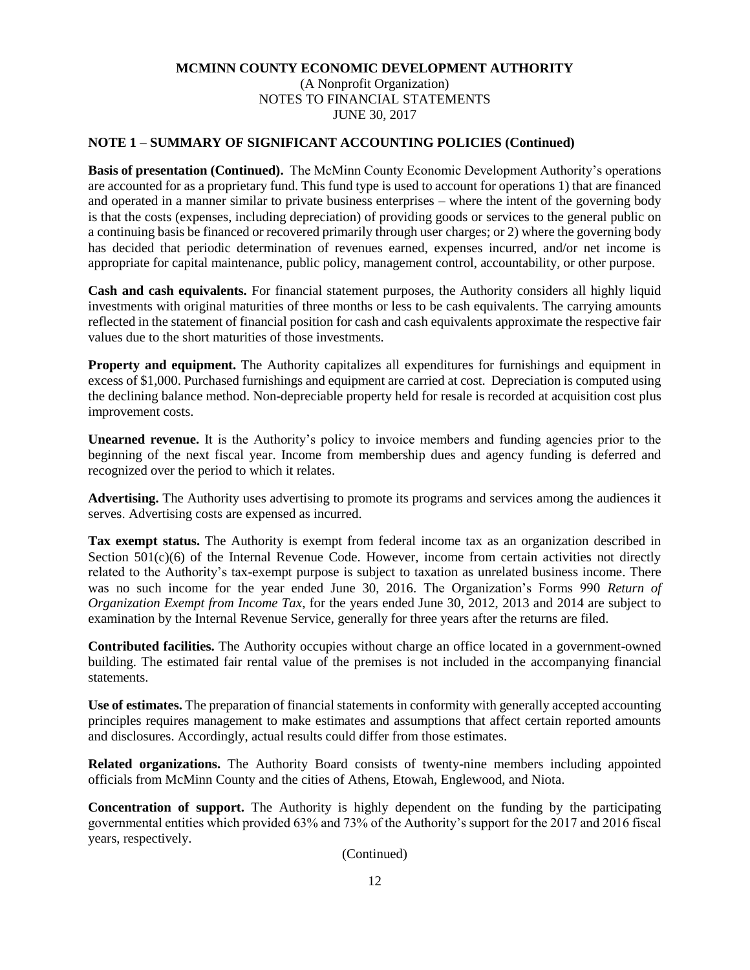#### **NOTE 1 – SUMMARY OF SIGNIFICANT ACCOUNTING POLICIES (Continued)**

**Basis of presentation (Continued).** The McMinn County Economic Development Authority's operations are accounted for as a proprietary fund. This fund type is used to account for operations 1) that are financed and operated in a manner similar to private business enterprises – where the intent of the governing body is that the costs (expenses, including depreciation) of providing goods or services to the general public on a continuing basis be financed or recovered primarily through user charges; or 2) where the governing body has decided that periodic determination of revenues earned, expenses incurred, and/or net income is appropriate for capital maintenance, public policy, management control, accountability, or other purpose.

**Cash and cash equivalents.** For financial statement purposes, the Authority considers all highly liquid investments with original maturities of three months or less to be cash equivalents. The carrying amounts reflected in the statement of financial position for cash and cash equivalents approximate the respective fair values due to the short maturities of those investments.

**Property and equipment.** The Authority capitalizes all expenditures for furnishings and equipment in excess of \$1,000. Purchased furnishings and equipment are carried at cost. Depreciation is computed using the declining balance method. Non-depreciable property held for resale is recorded at acquisition cost plus improvement costs.

**Unearned revenue.** It is the Authority's policy to invoice members and funding agencies prior to the beginning of the next fiscal year. Income from membership dues and agency funding is deferred and recognized over the period to which it relates.

**Advertising.** The Authority uses advertising to promote its programs and services among the audiences it serves. Advertising costs are expensed as incurred.

**Tax exempt status.** The Authority is exempt from federal income tax as an organization described in Section 501(c)(6) of the Internal Revenue Code. However, income from certain activities not directly related to the Authority's tax-exempt purpose is subject to taxation as unrelated business income. There was no such income for the year ended June 30, 2016. The Organization's Forms 990 *Return of Organization Exempt from Income Tax*, for the years ended June 30, 2012, 2013 and 2014 are subject to examination by the Internal Revenue Service, generally for three years after the returns are filed.

**Contributed facilities.** The Authority occupies without charge an office located in a government-owned building. The estimated fair rental value of the premises is not included in the accompanying financial statements.

**Use of estimates.** The preparation of financial statements in conformity with generally accepted accounting principles requires management to make estimates and assumptions that affect certain reported amounts and disclosures. Accordingly, actual results could differ from those estimates.

**Related organizations.** The Authority Board consists of twenty-nine members including appointed officials from McMinn County and the cities of Athens, Etowah, Englewood, and Niota.

**Concentration of support.** The Authority is highly dependent on the funding by the participating governmental entities which provided 63% and 73% of the Authority's support for the 2017 and 2016 fiscal years, respectively.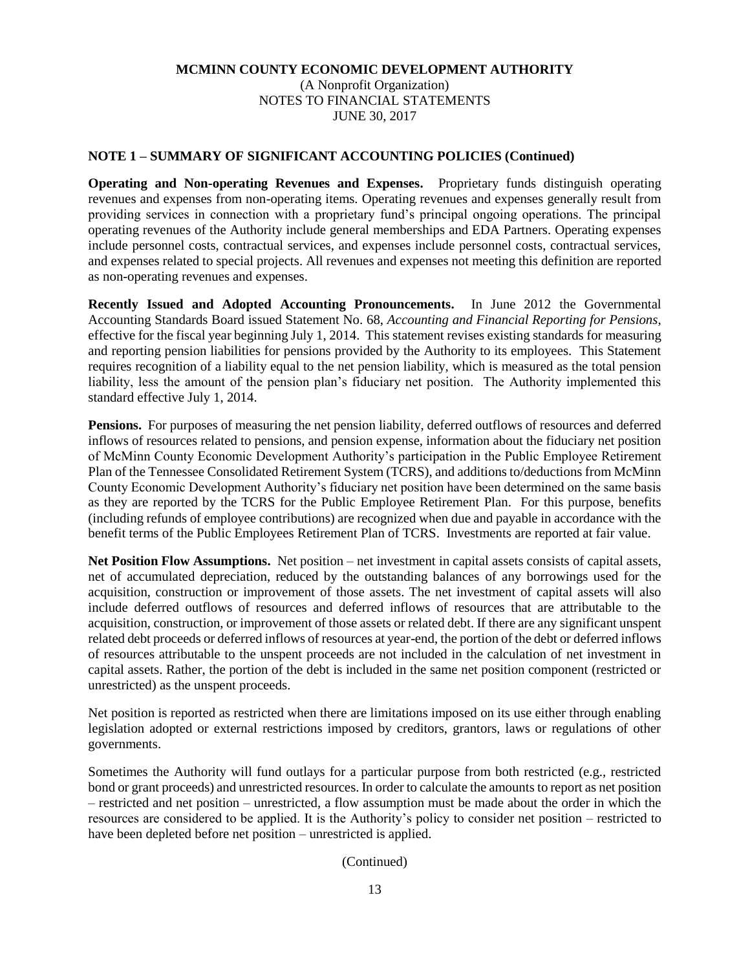#### **NOTE 1 – SUMMARY OF SIGNIFICANT ACCOUNTING POLICIES (Continued)**

**Operating and Non-operating Revenues and Expenses.** Proprietary funds distinguish operating revenues and expenses from non-operating items. Operating revenues and expenses generally result from providing services in connection with a proprietary fund's principal ongoing operations. The principal operating revenues of the Authority include general memberships and EDA Partners. Operating expenses include personnel costs, contractual services, and expenses include personnel costs, contractual services, and expenses related to special projects. All revenues and expenses not meeting this definition are reported as non-operating revenues and expenses.

**Recently Issued and Adopted Accounting Pronouncements.** In June 2012 the Governmental Accounting Standards Board issued Statement No. 68, *Accounting and Financial Reporting for Pensions,*  effective for the fiscal year beginning July 1, 2014. This statement revises existing standards for measuring and reporting pension liabilities for pensions provided by the Authority to its employees. This Statement requires recognition of a liability equal to the net pension liability, which is measured as the total pension liability, less the amount of the pension plan's fiduciary net position. The Authority implemented this standard effective July 1, 2014.

**Pensions.** For purposes of measuring the net pension liability, deferred outflows of resources and deferred inflows of resources related to pensions, and pension expense, information about the fiduciary net position of McMinn County Economic Development Authority's participation in the Public Employee Retirement Plan of the Tennessee Consolidated Retirement System (TCRS), and additions to/deductions from McMinn County Economic Development Authority's fiduciary net position have been determined on the same basis as they are reported by the TCRS for the Public Employee Retirement Plan. For this purpose, benefits (including refunds of employee contributions) are recognized when due and payable in accordance with the benefit terms of the Public Employees Retirement Plan of TCRS. Investments are reported at fair value.

**Net Position Flow Assumptions.** Net position – net investment in capital assets consists of capital assets, net of accumulated depreciation, reduced by the outstanding balances of any borrowings used for the acquisition, construction or improvement of those assets. The net investment of capital assets will also include deferred outflows of resources and deferred inflows of resources that are attributable to the acquisition, construction, or improvement of those assets or related debt. If there are any significant unspent related debt proceeds or deferred inflows of resources at year-end, the portion of the debt or deferred inflows of resources attributable to the unspent proceeds are not included in the calculation of net investment in capital assets. Rather, the portion of the debt is included in the same net position component (restricted or unrestricted) as the unspent proceeds.

Net position is reported as restricted when there are limitations imposed on its use either through enabling legislation adopted or external restrictions imposed by creditors, grantors, laws or regulations of other governments.

Sometimes the Authority will fund outlays for a particular purpose from both restricted (e.g., restricted bond or grant proceeds) and unrestricted resources. In order to calculate the amounts to report as net position – restricted and net position – unrestricted, a flow assumption must be made about the order in which the resources are considered to be applied. It is the Authority's policy to consider net position – restricted to have been depleted before net position – unrestricted is applied.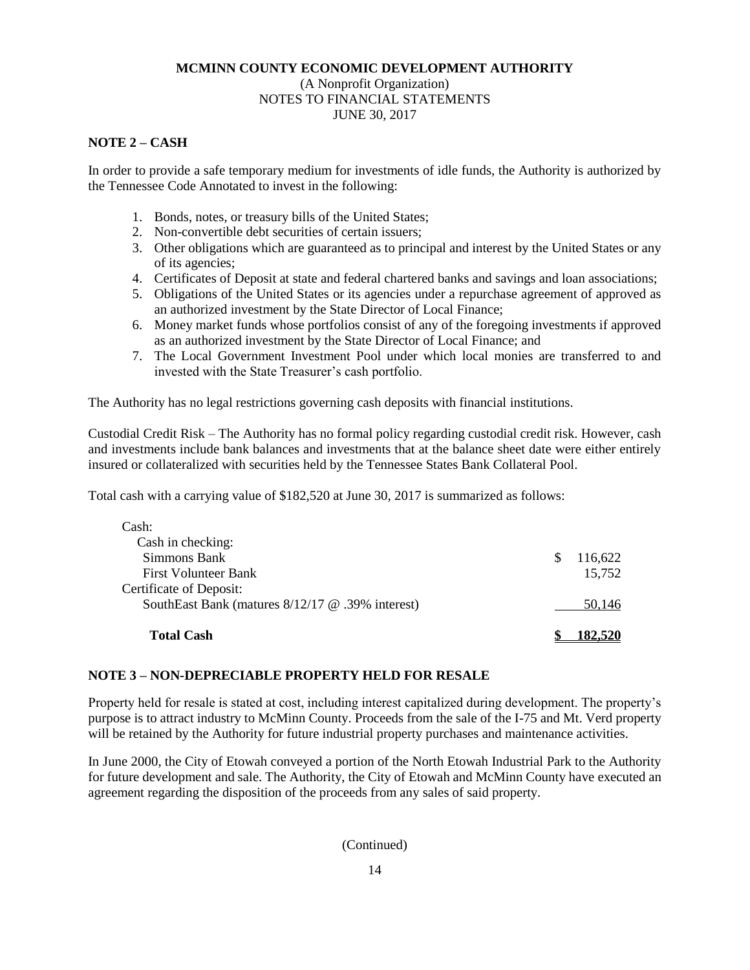### **NOTE 2 – CASH**

In order to provide a safe temporary medium for investments of idle funds, the Authority is authorized by the Tennessee Code Annotated to invest in the following:

- 1. Bonds, notes, or treasury bills of the United States;
- 2. Non-convertible debt securities of certain issuers;
- 3. Other obligations which are guaranteed as to principal and interest by the United States or any of its agencies;
- 4. Certificates of Deposit at state and federal chartered banks and savings and loan associations;
- 5. Obligations of the United States or its agencies under a repurchase agreement of approved as an authorized investment by the State Director of Local Finance;
- 6. Money market funds whose portfolios consist of any of the foregoing investments if approved as an authorized investment by the State Director of Local Finance; and
- 7. The Local Government Investment Pool under which local monies are transferred to and invested with the State Treasurer's cash portfolio.

The Authority has no legal restrictions governing cash deposits with financial institutions.

Custodial Credit Risk – The Authority has no formal policy regarding custodial credit risk. However, cash and investments include bank balances and investments that at the balance sheet date were either entirely insured or collateralized with securities held by the Tennessee States Bank Collateral Pool.

Total cash with a carrying value of \$182,520 at June 30, 2017 is summarized as follows:

| Cash:                                              |         |
|----------------------------------------------------|---------|
| Cash in checking:                                  |         |
| Simmons Bank                                       | 116,622 |
| <b>First Volunteer Bank</b>                        | 15,752  |
| Certificate of Deposit:                            |         |
| SouthEast Bank (matures $8/12/17$ @ .39% interest) | 50.146  |
| <b>Total Cash</b>                                  | 182,520 |

### **NOTE 3 – NON-DEPRECIABLE PROPERTY HELD FOR RESALE**

Property held for resale is stated at cost, including interest capitalized during development. The property's purpose is to attract industry to McMinn County. Proceeds from the sale of the I-75 and Mt. Verd property will be retained by the Authority for future industrial property purchases and maintenance activities.

In June 2000, the City of Etowah conveyed a portion of the North Etowah Industrial Park to the Authority for future development and sale. The Authority, the City of Etowah and McMinn County have executed an agreement regarding the disposition of the proceeds from any sales of said property.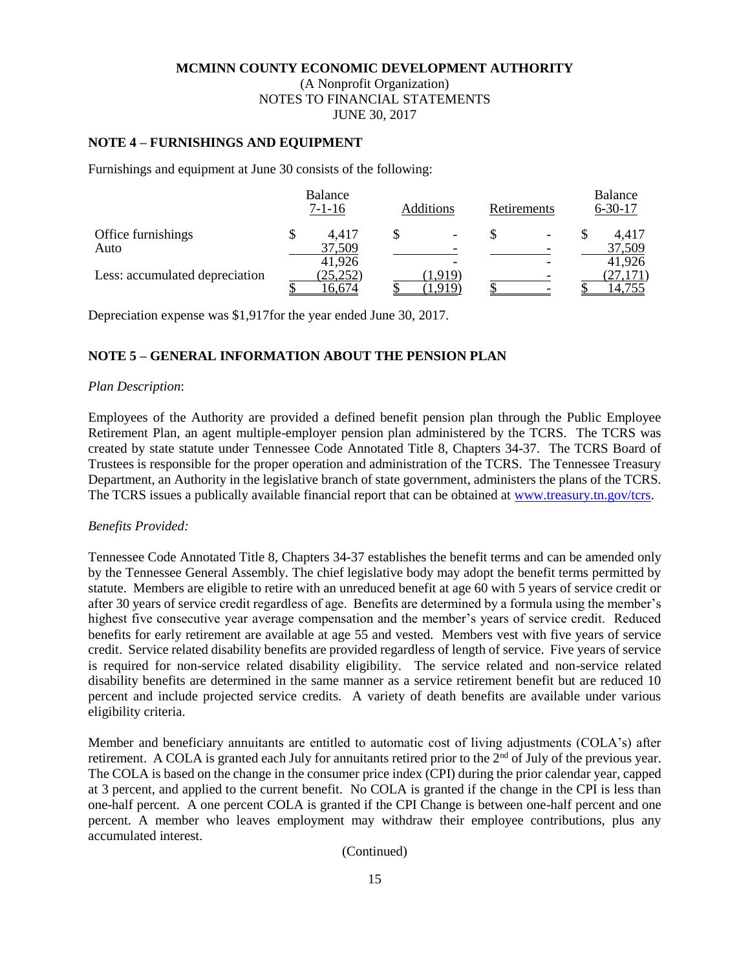#### **NOTE 4 – FURNISHINGS AND EQUIPMENT**

Furnishings and equipment at June 30 consists of the following:

|                                | <b>Balance</b><br>$7 - 1 - 16$ | Additions                | Retirements | <b>Balance</b><br>$6 - 30 - 17$ |
|--------------------------------|--------------------------------|--------------------------|-------------|---------------------------------|
| Office furnishings             | 4,417                          | $\overline{\phantom{a}}$ |             | 4.417                           |
| Auto                           | 37,509<br>41,926               |                          |             | 37,509<br>41,926                |
| Less: accumulated depreciation | (25, 252)<br>6,674             | 1.919)                   |             | (27,171)                        |

Depreciation expense was \$1,917for the year ended June 30, 2017.

#### **NOTE 5 – GENERAL INFORMATION ABOUT THE PENSION PLAN**

#### *Plan Description*:

Employees of the Authority are provided a defined benefit pension plan through the Public Employee Retirement Plan, an agent multiple-employer pension plan administered by the TCRS. The TCRS was created by state statute under Tennessee Code Annotated Title 8, Chapters 34-37. The TCRS Board of Trustees is responsible for the proper operation and administration of the TCRS. The Tennessee Treasury Department, an Authority in the legislative branch of state government, administers the plans of the TCRS. The TCRS issues a publically available financial report that can be obtained at [www.treasury.tn.gov/tcrs.](http://www.treasury.tn.gov/tcrs)

#### *Benefits Provided:*

Tennessee Code Annotated Title 8, Chapters 34-37 establishes the benefit terms and can be amended only by the Tennessee General Assembly. The chief legislative body may adopt the benefit terms permitted by statute. Members are eligible to retire with an unreduced benefit at age 60 with 5 years of service credit or after 30 years of service credit regardless of age. Benefits are determined by a formula using the member's highest five consecutive year average compensation and the member's years of service credit. Reduced benefits for early retirement are available at age 55 and vested. Members vest with five years of service credit. Service related disability benefits are provided regardless of length of service. Five years of service is required for non-service related disability eligibility. The service related and non-service related disability benefits are determined in the same manner as a service retirement benefit but are reduced 10 percent and include projected service credits. A variety of death benefits are available under various eligibility criteria.

Member and beneficiary annuitants are entitled to automatic cost of living adjustments (COLA's) after retirement. A COLA is granted each July for annuitants retired prior to the 2<sup>nd</sup> of July of the previous year. The COLA is based on the change in the consumer price index (CPI) during the prior calendar year, capped at 3 percent, and applied to the current benefit. No COLA is granted if the change in the CPI is less than one-half percent. A one percent COLA is granted if the CPI Change is between one-half percent and one percent. A member who leaves employment may withdraw their employee contributions, plus any accumulated interest.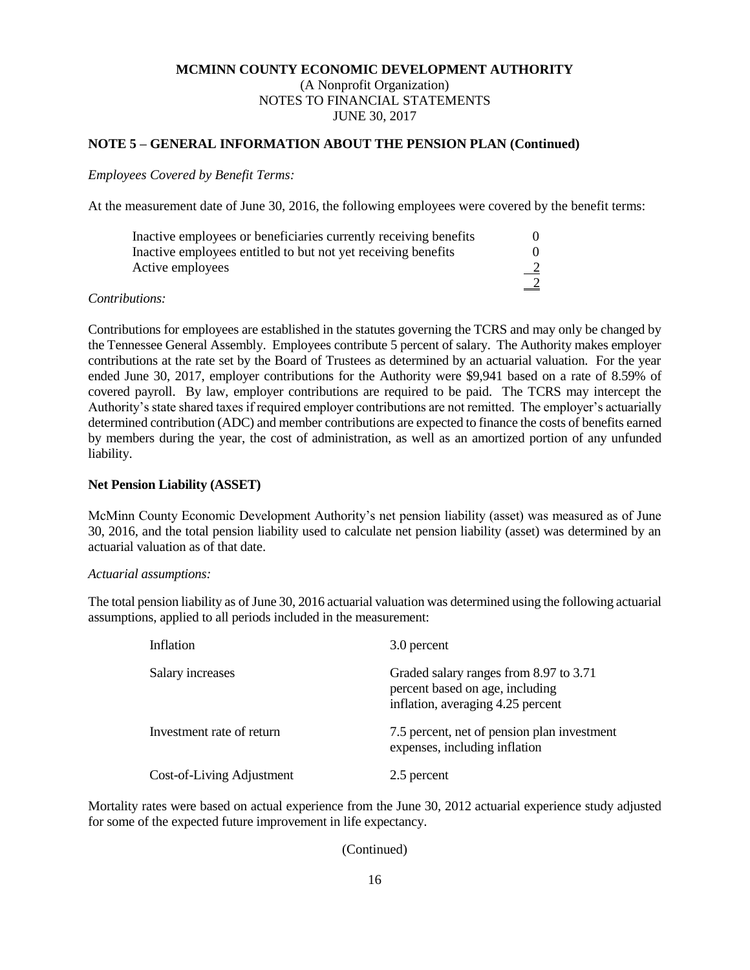#### **NOTE 5 – GENERAL INFORMATION ABOUT THE PENSION PLAN (Continued)**

#### *Employees Covered by Benefit Terms:*

At the measurement date of June 30, 2016, the following employees were covered by the benefit terms:

| Inactive employees or beneficiaries currently receiving benefits |  |
|------------------------------------------------------------------|--|
| Inactive employees entitled to but not yet receiving benefits    |  |
| Active employees                                                 |  |
|                                                                  |  |

#### *Contributions:*

Contributions for employees are established in the statutes governing the TCRS and may only be changed by the Tennessee General Assembly. Employees contribute 5 percent of salary. The Authority makes employer contributions at the rate set by the Board of Trustees as determined by an actuarial valuation. For the year ended June 30, 2017, employer contributions for the Authority were \$9,941 based on a rate of 8.59% of covered payroll. By law, employer contributions are required to be paid. The TCRS may intercept the Authority's state shared taxes if required employer contributions are not remitted. The employer's actuarially determined contribution (ADC) and member contributions are expected to finance the costs of benefits earned by members during the year, the cost of administration, as well as an amortized portion of any unfunded liability.

#### **Net Pension Liability (ASSET)**

McMinn County Economic Development Authority's net pension liability (asset) was measured as of June 30, 2016, and the total pension liability used to calculate net pension liability (asset) was determined by an actuarial valuation as of that date.

#### *Actuarial assumptions:*

The total pension liability as of June 30, 2016 actuarial valuation was determined using the following actuarial assumptions, applied to all periods included in the measurement:

| Inflation                 | 3.0 percent                                                                                                    |
|---------------------------|----------------------------------------------------------------------------------------------------------------|
| Salary increases          | Graded salary ranges from 8.97 to 3.71<br>percent based on age, including<br>inflation, averaging 4.25 percent |
| Investment rate of return | 7.5 percent, net of pension plan investment<br>expenses, including inflation                                   |
| Cost-of-Living Adjustment | 2.5 percent                                                                                                    |

Mortality rates were based on actual experience from the June 30, 2012 actuarial experience study adjusted for some of the expected future improvement in life expectancy.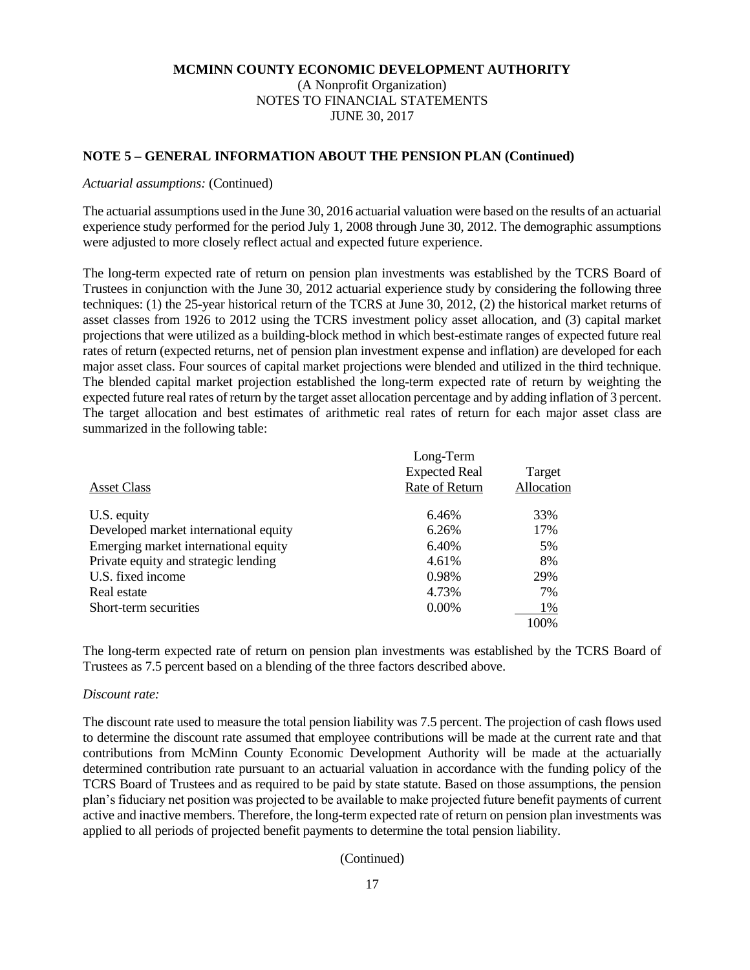### **NOTE 5 – GENERAL INFORMATION ABOUT THE PENSION PLAN (Continued)**

#### *Actuarial assumptions:* (Continued)

The actuarial assumptions used in the June 30, 2016 actuarial valuation were based on the results of an actuarial experience study performed for the period July 1, 2008 through June 30, 2012. The demographic assumptions were adjusted to more closely reflect actual and expected future experience.

The long-term expected rate of return on pension plan investments was established by the TCRS Board of Trustees in conjunction with the June 30, 2012 actuarial experience study by considering the following three techniques: (1) the 25-year historical return of the TCRS at June 30, 2012, (2) the historical market returns of asset classes from 1926 to 2012 using the TCRS investment policy asset allocation, and (3) capital market projections that were utilized as a building-block method in which best-estimate ranges of expected future real rates of return (expected returns, net of pension plan investment expense and inflation) are developed for each major asset class. Four sources of capital market projections were blended and utilized in the third technique. The blended capital market projection established the long-term expected rate of return by weighting the expected future real rates of return by the target asset allocation percentage and by adding inflation of 3 percent. The target allocation and best estimates of arithmetic real rates of return for each major asset class are summarized in the following table:

|                                       | Long-Term            |            |
|---------------------------------------|----------------------|------------|
|                                       | <b>Expected Real</b> | Target     |
| <b>Asset Class</b>                    | Rate of Return       | Allocation |
| U.S. equity                           | 6.46%                | 33%        |
| Developed market international equity | 6.26%                | 17%        |
| Emerging market international equity  | 6.40%                | 5%         |
| Private equity and strategic lending  | 4.61%                | 8%         |
| U.S. fixed income                     | 0.98%                | 29%        |
| Real estate                           | 4.73%                | 7%         |
| Short-term securities                 | $0.00\%$             | 1%         |
|                                       |                      | 100%       |

The long-term expected rate of return on pension plan investments was established by the TCRS Board of Trustees as 7.5 percent based on a blending of the three factors described above.

#### *Discount rate:*

The discount rate used to measure the total pension liability was 7.5 percent. The projection of cash flows used to determine the discount rate assumed that employee contributions will be made at the current rate and that contributions from McMinn County Economic Development Authority will be made at the actuarially determined contribution rate pursuant to an actuarial valuation in accordance with the funding policy of the TCRS Board of Trustees and as required to be paid by state statute. Based on those assumptions, the pension plan's fiduciary net position was projected to be available to make projected future benefit payments of current active and inactive members. Therefore, the long-term expected rate of return on pension plan investments was applied to all periods of projected benefit payments to determine the total pension liability.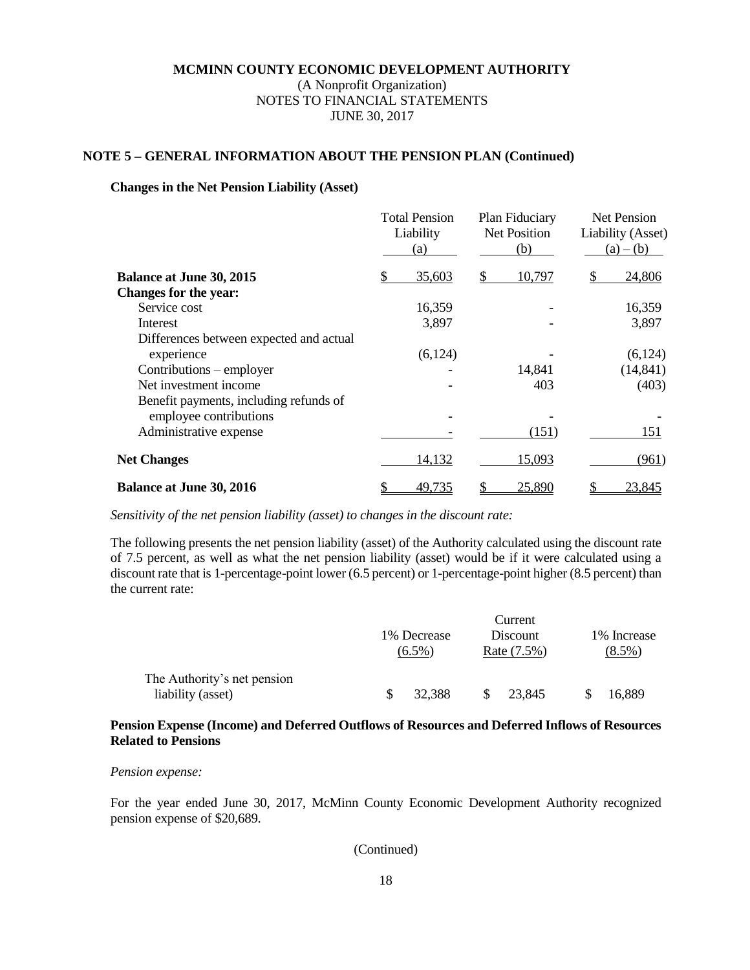JUNE 30, 2017

#### **NOTE 5 – GENERAL INFORMATION ABOUT THE PENSION PLAN (Continued)**

#### **Changes in the Net Pension Liability (Asset)**

|                                         |   | <b>Total Pension</b><br>Liability<br>(a) | Plan Fiduciary<br><b>Net Position</b><br>(b) | Net Pension<br>Liability (Asset)<br>$(a) - (b)$ |
|-----------------------------------------|---|------------------------------------------|----------------------------------------------|-------------------------------------------------|
| <b>Balance at June 30, 2015</b>         | S | 35,603                                   | \$<br>10,797                                 | 24,806                                          |
| Changes for the year:                   |   |                                          |                                              |                                                 |
| Service cost                            |   | 16,359                                   |                                              | 16,359                                          |
| Interest                                |   | 3,897                                    |                                              | 3,897                                           |
| Differences between expected and actual |   |                                          |                                              |                                                 |
| experience                              |   | (6,124)                                  |                                              | (6,124)                                         |
| Contributions - employer                |   |                                          | 14,841                                       | (14, 841)                                       |
| Net investment income                   |   |                                          | 403                                          | (403)                                           |
| Benefit payments, including refunds of  |   |                                          |                                              |                                                 |
| employee contributions                  |   |                                          |                                              |                                                 |
| Administrative expense                  |   |                                          | (151)                                        | 151                                             |
| <b>Net Changes</b>                      |   | 14,132                                   | 15,093                                       | (961)                                           |
| <b>Balance at June 30, 2016</b>         |   | 49,735                                   | 25,890                                       | 23,845                                          |

*Sensitivity of the net pension liability (asset) to changes in the discount rate:*

The following presents the net pension liability (asset) of the Authority calculated using the discount rate of 7.5 percent, as well as what the net pension liability (asset) would be if it were calculated using a discount rate that is 1-percentage-point lower (6.5 percent) or 1-percentage-point higher (8.5 percent) than the current rate:

|                                                  |                           | Current                 |                          |
|--------------------------------------------------|---------------------------|-------------------------|--------------------------|
|                                                  | 1\% Decrease<br>$(6.5\%)$ | Discount<br>Rate (7.5%) | 1% Increase<br>$(8.5\%)$ |
| The Authority's net pension<br>liability (asset) | 32,388                    | 23,845                  | 16,889                   |

#### **Pension Expense (Income) and Deferred Outflows of Resources and Deferred Inflows of Resources Related to Pensions**

#### *Pension expense:*

For the year ended June 30, 2017, McMinn County Economic Development Authority recognized pension expense of \$20,689.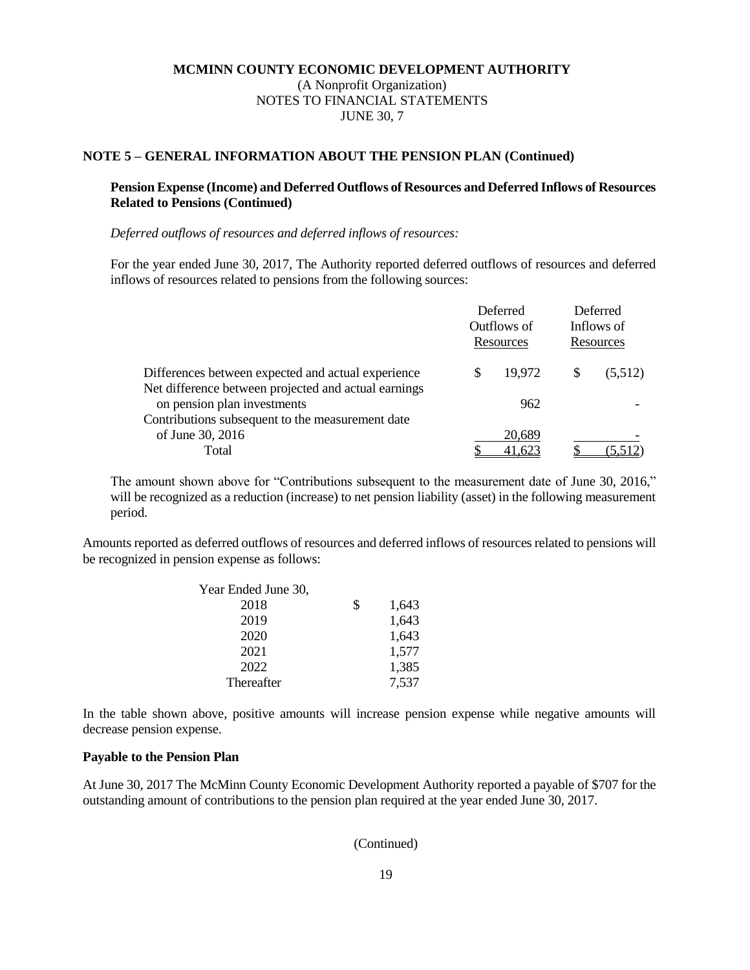#### **NOTE 5 – GENERAL INFORMATION ABOUT THE PENSION PLAN (Continued)**

#### **Pension Expense (Income) and Deferred Outflows of Resources and Deferred Inflows of Resources Related to Pensions (Continued)**

*Deferred outflows of resources and deferred inflows of resources:*

For the year ended June 30, 2017, The Authority reported deferred outflows of resources and deferred inflows of resources related to pensions from the following sources:

|                                                                                                            |   | Deferred<br>Outflows of<br>Resources |   | Deferred<br>Inflows of<br>Resources |
|------------------------------------------------------------------------------------------------------------|---|--------------------------------------|---|-------------------------------------|
| Differences between expected and actual experience<br>Net difference between projected and actual earnings | S | 19,972                               | S | (5,512)                             |
| on pension plan investments                                                                                |   | 962                                  |   |                                     |
| Contributions subsequent to the measurement date                                                           |   |                                      |   |                                     |
| of June 30, 2016                                                                                           |   | 20,689                               |   |                                     |
| Total                                                                                                      |   | 41,623                               |   | (5,512)                             |

The amount shown above for "Contributions subsequent to the measurement date of June 30, 2016," will be recognized as a reduction (increase) to net pension liability (asset) in the following measurement period.

Amounts reported as deferred outflows of resources and deferred inflows of resources related to pensions will be recognized in pension expense as follows:

| Year Ended June 30, |             |
|---------------------|-------------|
| 2018                | \$<br>1.643 |
| 2019                | 1,643       |
| 2020                | 1,643       |
| 2021                | 1,577       |
| 2022                | 1,385       |
| Thereafter          | 7,537       |

In the table shown above, positive amounts will increase pension expense while negative amounts will decrease pension expense.

#### **Payable to the Pension Plan**

At June 30, 2017 The McMinn County Economic Development Authority reported a payable of \$707 for the outstanding amount of contributions to the pension plan required at the year ended June 30, 2017.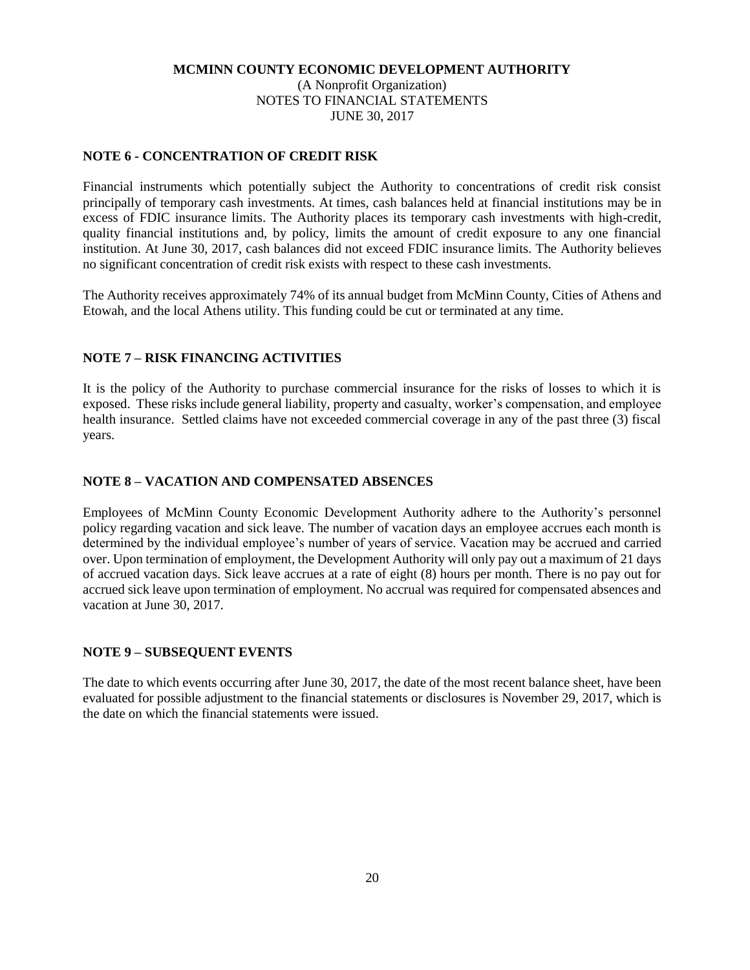## **NOTE 6 - CONCENTRATION OF CREDIT RISK**

Financial instruments which potentially subject the Authority to concentrations of credit risk consist principally of temporary cash investments. At times, cash balances held at financial institutions may be in excess of FDIC insurance limits. The Authority places its temporary cash investments with high-credit, quality financial institutions and, by policy, limits the amount of credit exposure to any one financial institution. At June 30, 2017, cash balances did not exceed FDIC insurance limits. The Authority believes no significant concentration of credit risk exists with respect to these cash investments.

The Authority receives approximately 74% of its annual budget from McMinn County, Cities of Athens and Etowah, and the local Athens utility. This funding could be cut or terminated at any time.

### **NOTE 7 – RISK FINANCING ACTIVITIES**

It is the policy of the Authority to purchase commercial insurance for the risks of losses to which it is exposed. These risks include general liability, property and casualty, worker's compensation, and employee health insurance. Settled claims have not exceeded commercial coverage in any of the past three (3) fiscal years.

#### **NOTE 8 – VACATION AND COMPENSATED ABSENCES**

Employees of McMinn County Economic Development Authority adhere to the Authority's personnel policy regarding vacation and sick leave. The number of vacation days an employee accrues each month is determined by the individual employee's number of years of service. Vacation may be accrued and carried over. Upon termination of employment, the Development Authority will only pay out a maximum of 21 days of accrued vacation days. Sick leave accrues at a rate of eight (8) hours per month. There is no pay out for accrued sick leave upon termination of employment. No accrual was required for compensated absences and vacation at June 30, 2017.

#### **NOTE 9 – SUBSEQUENT EVENTS**

The date to which events occurring after June 30, 2017, the date of the most recent balance sheet, have been evaluated for possible adjustment to the financial statements or disclosures is November 29, 2017, which is the date on which the financial statements were issued.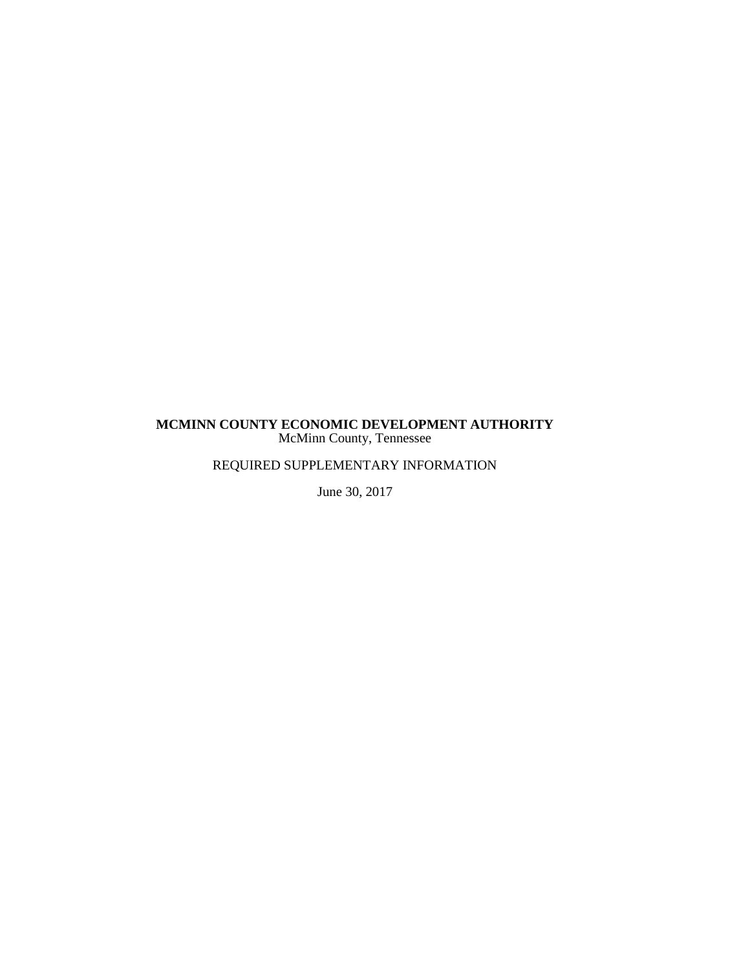## **MCMINN COUNTY ECONOMIC DEVELOPMENT AUTHORITY** McMinn County, Tennessee

REQUIRED SUPPLEMENTARY INFORMATION

June 30, 2017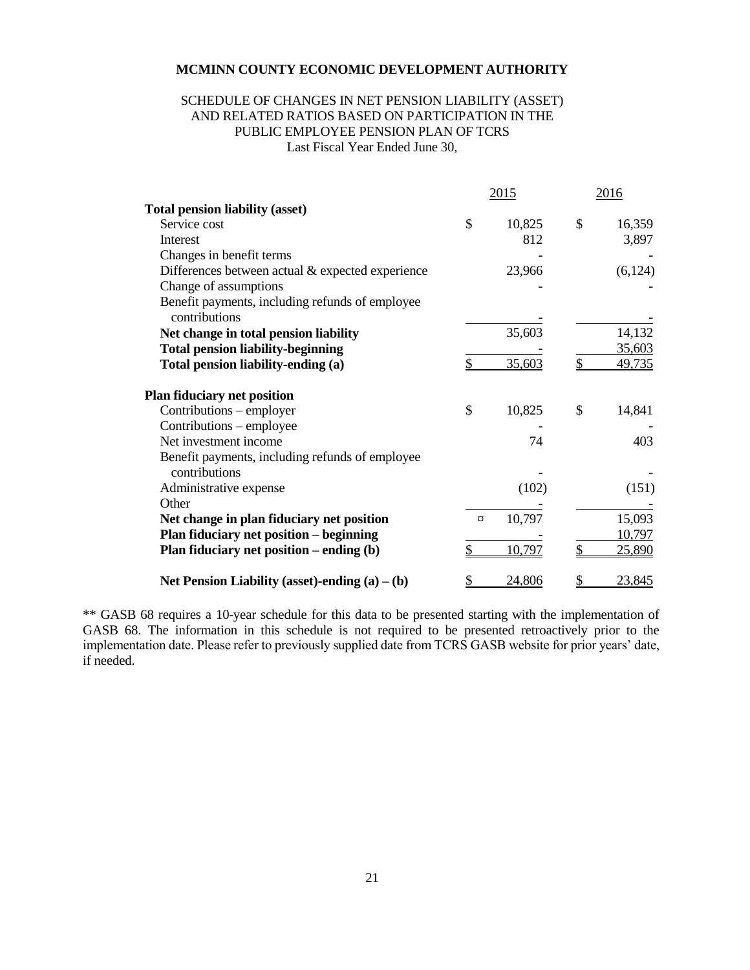## SCHEDULE OF CHANGES IN NET PENSION LIABILITY (ASSET) AND RELATED RATIOS BASED ON PARTICIPATION IN THE PUBLIC EMPLOYEE PENSION PLAN OF TCRS Last Fiscal Year Ended June 30,

|                                                                  |                         | 2015   |               | 2016     |
|------------------------------------------------------------------|-------------------------|--------|---------------|----------|
| <b>Total pension liability (asset)</b>                           |                         |        |               |          |
| Service cost                                                     | \$                      | 10,825 | \$            | 16,359   |
| Interest                                                         |                         | 812    |               | 3,897    |
| Changes in benefit terms                                         |                         |        |               |          |
| Differences between actual & expected experience                 |                         | 23,966 |               | (6, 124) |
| Change of assumptions                                            |                         |        |               |          |
| Benefit payments, including refunds of employee<br>contributions |                         |        |               |          |
| Net change in total pension liability                            |                         | 35,603 |               | 14,132   |
| <b>Total pension liability-beginning</b>                         |                         |        |               | 35,603   |
| Total pension liability-ending (a)                               |                         | 35,603 |               | 49,735   |
| <b>Plan fiduciary net position</b>                               |                         |        |               |          |
| Contributions – employer                                         | \$                      | 10,825 | \$            | 14,841   |
| Contributions – employee                                         |                         |        |               |          |
| Net investment income                                            |                         | 74     |               | 403      |
| Benefit payments, including refunds of employee                  |                         |        |               |          |
| contributions                                                    |                         |        |               |          |
| Administrative expense                                           |                         | (102)  |               | (151)    |
| Other                                                            |                         |        |               |          |
| Net change in plan fiduciary net position                        | $\overline{\mathtt{u}}$ | 10,797 |               | 15,093   |
| Plan fiduciary net position – beginning                          |                         |        |               | 10,797   |
| Plan fiduciary net position – ending $(b)$                       |                         | 10,797 |               | 25,890   |
| Net Pension Liability (asset)-ending $(a) - (b)$                 | \$                      | 24,806 | $\mathcal{P}$ | 23,845   |

\*\* GASB 68 requires a 10-year schedule for this data to be presented starting with the implementation of GASB 68. The information in this schedule is not required to be presented retroactively prior to the implementation date. Please refer to previously supplied date from TCRS GASB website for prior years' date, if needed.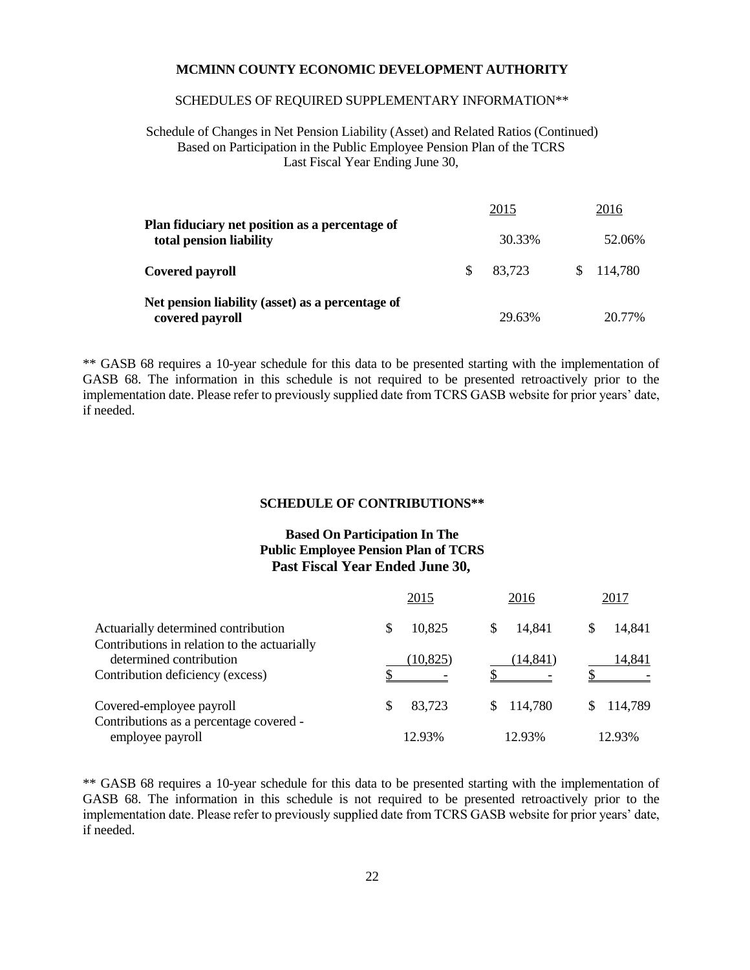#### SCHEDULES OF REQUIRED SUPPLEMENTARY INFORMATION\*\*

#### Schedule of Changes in Net Pension Liability (Asset) and Related Ratios (Continued) Based on Participation in the Public Employee Pension Plan of the TCRS Last Fiscal Year Ending June 30,

|                                                                           |     | 2015   |  | 2016      |  |
|---------------------------------------------------------------------------|-----|--------|--|-----------|--|
| Plan fiduciary net position as a percentage of<br>total pension liability |     | 30.33% |  | 52.06%    |  |
| <b>Covered payroll</b>                                                    | \$. | 83.723 |  | \$114,780 |  |
| Net pension liability (asset) as a percentage of<br>covered payroll       |     | 29.63% |  | 20.77%    |  |

\*\* GASB 68 requires a 10-year schedule for this data to be presented starting with the implementation of GASB 68. The information in this schedule is not required to be presented retroactively prior to the implementation date. Please refer to previously supplied date from TCRS GASB website for prior years' date, if needed.

#### **SCHEDULE OF CONTRIBUTIONS\*\***

## **Based On Participation In The Public Employee Pension Plan of TCRS Past Fiscal Year Ended June 30,**

|                                                                                                             | 2015      | 2016         | 2017        |
|-------------------------------------------------------------------------------------------------------------|-----------|--------------|-------------|
| Actuarially determined contribution                                                                         | 10,825    | \$<br>14,841 | 14,841<br>S |
| Contributions in relation to the actuarially<br>determined contribution<br>Contribution deficiency (excess) | (10, 825) | (14,841)     | 14,841      |
| Covered-employee payroll<br>Contributions as a percentage covered -                                         | 83,723    | 114,780<br>S | 114,789     |
| employee payroll                                                                                            | 12.93%    | 12.93%       | 12.93%      |

\*\* GASB 68 requires a 10-year schedule for this data to be presented starting with the implementation of GASB 68. The information in this schedule is not required to be presented retroactively prior to the implementation date. Please refer to previously supplied date from TCRS GASB website for prior years' date, if needed.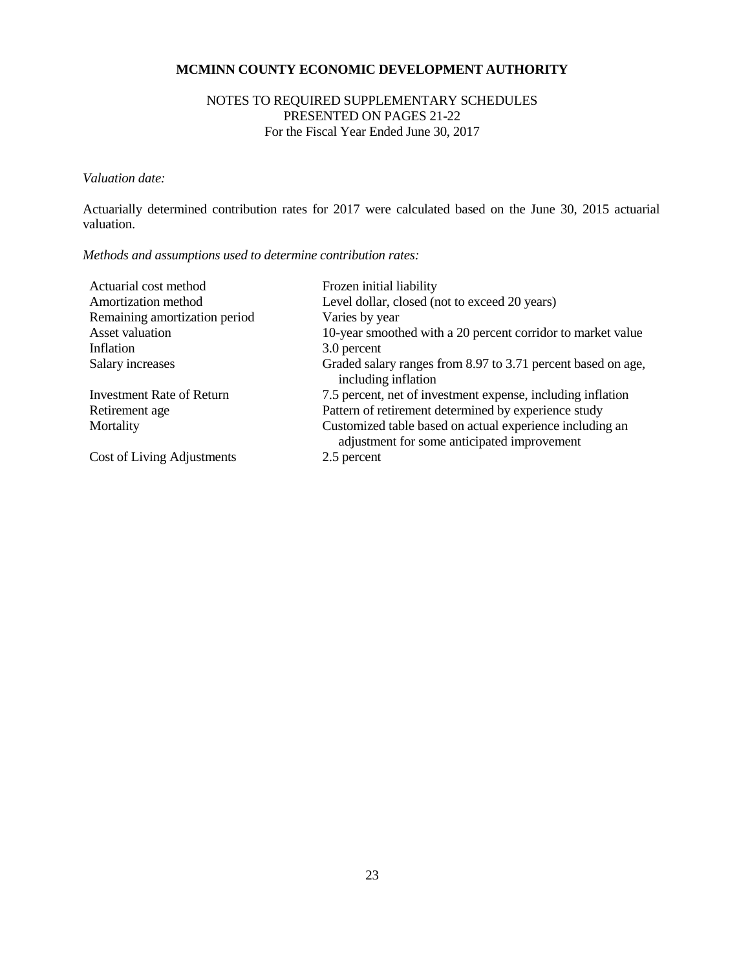#### NOTES TO REQUIRED SUPPLEMENTARY SCHEDULES PRESENTED ON PAGES 21-22 For the Fiscal Year Ended June 30, 2017

#### *Valuation date:*

Actuarially determined contribution rates for 2017 were calculated based on the June 30, 2015 actuarial valuation.

#### *Methods and assumptions used to determine contribution rates:*

| Actuarial cost method            | Frozen initial liability                                                                                |
|----------------------------------|---------------------------------------------------------------------------------------------------------|
| Amortization method              | Level dollar, closed (not to exceed 20 years)                                                           |
| Remaining amortization period    | Varies by year                                                                                          |
| Asset valuation                  | 10-year smoothed with a 20 percent corridor to market value                                             |
| Inflation                        | 3.0 percent                                                                                             |
| Salary increases                 | Graded salary ranges from 8.97 to 3.71 percent based on age,<br>including inflation                     |
| <b>Investment Rate of Return</b> | 7.5 percent, net of investment expense, including inflation                                             |
| Retirement age                   | Pattern of retirement determined by experience study                                                    |
| Mortality                        | Customized table based on actual experience including an<br>adjustment for some anticipated improvement |
| Cost of Living Adjustments       | 2.5 percent                                                                                             |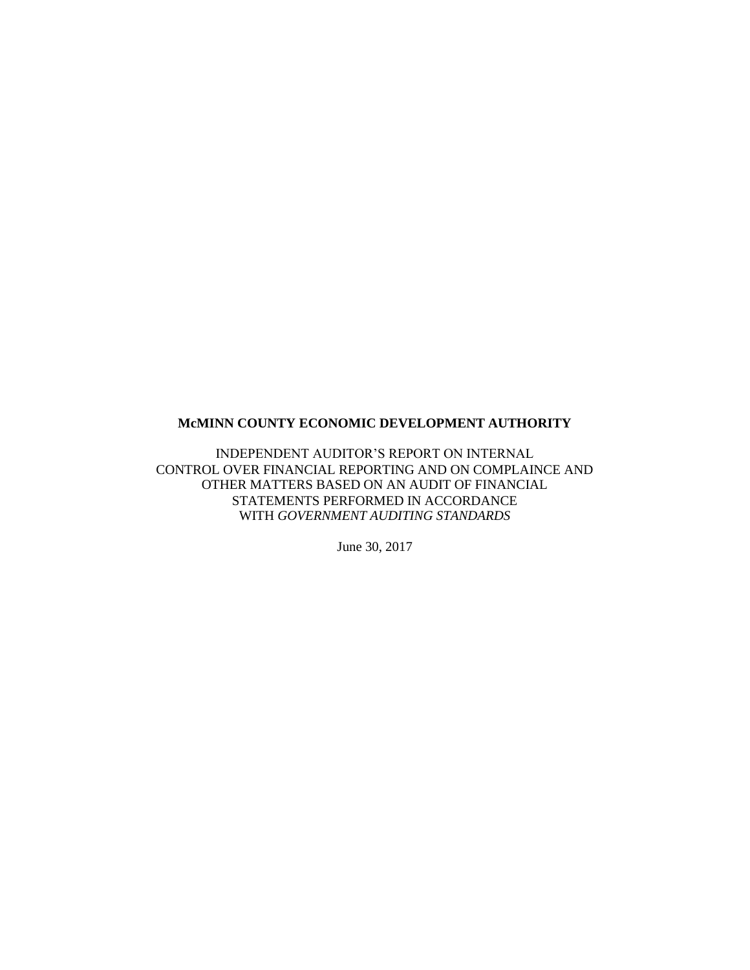INDEPENDENT AUDITOR'S REPORT ON INTERNAL CONTROL OVER FINANCIAL REPORTING AND ON COMPLAINCE AND OTHER MATTERS BASED ON AN AUDIT OF FINANCIAL STATEMENTS PERFORMED IN ACCORDANCE WITH *GOVERNMENT AUDITING STANDARDS*

June 30, 2017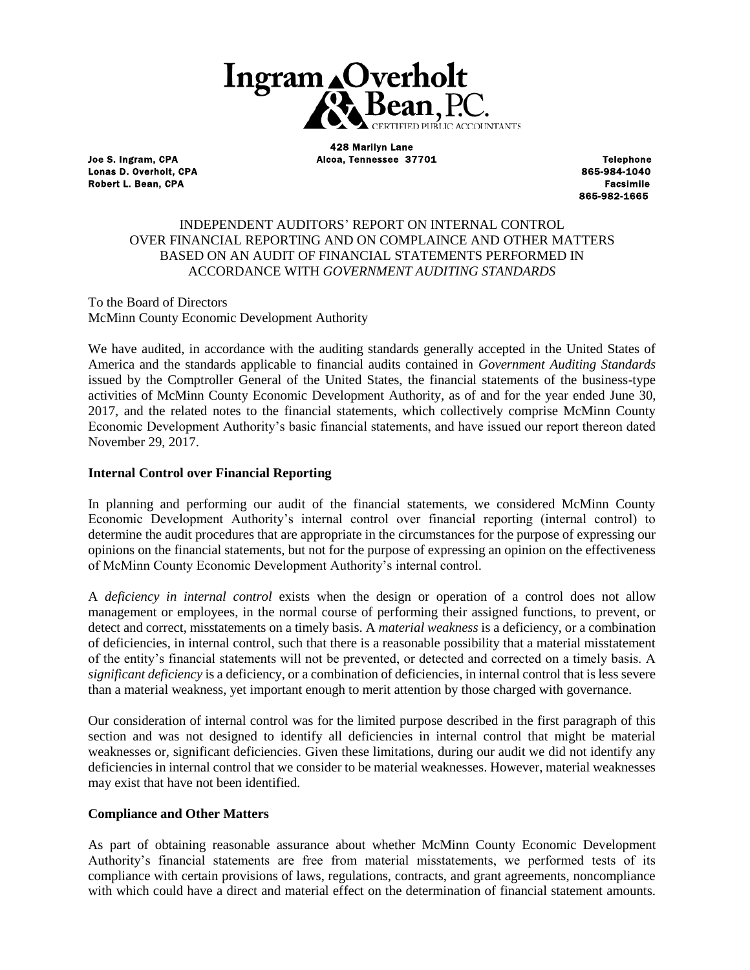

428 Marilyn Lane Joe S. Ingram, CPA **Alcoa, Tennessee 37701** Alcoa, Tennessee 37701

Lonas D. Overholt, CPA 865-984-1040 Robert L. Bean, CPA Facsimile Service Controllers and the Controllers of the Controllers of the Facsimile Service Controllers and the Facsimile Service Controllers and the Facsimile Service Controllers and the Facsimile Se

865-982-1665

## INDEPENDENT AUDITORS' REPORT ON INTERNAL CONTROL OVER FINANCIAL REPORTING AND ON COMPLAINCE AND OTHER MATTERS BASED ON AN AUDIT OF FINANCIAL STATEMENTS PERFORMED IN ACCORDANCE WITH *GOVERNMENT AUDITING STANDARDS*

To the Board of Directors McMinn County Economic Development Authority

We have audited, in accordance with the auditing standards generally accepted in the United States of America and the standards applicable to financial audits contained in *Government Auditing Standards* issued by the Comptroller General of the United States, the financial statements of the business-type activities of McMinn County Economic Development Authority, as of and for the year ended June 30, 2017, and the related notes to the financial statements, which collectively comprise McMinn County Economic Development Authority's basic financial statements, and have issued our report thereon dated November 29, 2017.

### **Internal Control over Financial Reporting**

In planning and performing our audit of the financial statements, we considered McMinn County Economic Development Authority's internal control over financial reporting (internal control) to determine the audit procedures that are appropriate in the circumstances for the purpose of expressing our opinions on the financial statements, but not for the purpose of expressing an opinion on the effectiveness of McMinn County Economic Development Authority's internal control.

A *deficiency in internal control* exists when the design or operation of a control does not allow management or employees, in the normal course of performing their assigned functions, to prevent, or detect and correct, misstatements on a timely basis. A *material weakness* is a deficiency, or a combination of deficiencies, in internal control, such that there is a reasonable possibility that a material misstatement of the entity's financial statements will not be prevented, or detected and corrected on a timely basis. A *significant deficiency* is a deficiency, or a combination of deficiencies, in internal control that is less severe than a material weakness, yet important enough to merit attention by those charged with governance.

Our consideration of internal control was for the limited purpose described in the first paragraph of this section and was not designed to identify all deficiencies in internal control that might be material weaknesses or, significant deficiencies. Given these limitations, during our audit we did not identify any deficiencies in internal control that we consider to be material weaknesses. However, material weaknesses may exist that have not been identified.

#### **Compliance and Other Matters**

As part of obtaining reasonable assurance about whether McMinn County Economic Development Authority's financial statements are free from material misstatements, we performed tests of its compliance with certain provisions of laws, regulations, contracts, and grant agreements, noncompliance with which could have a direct and material effect on the determination of financial statement amounts.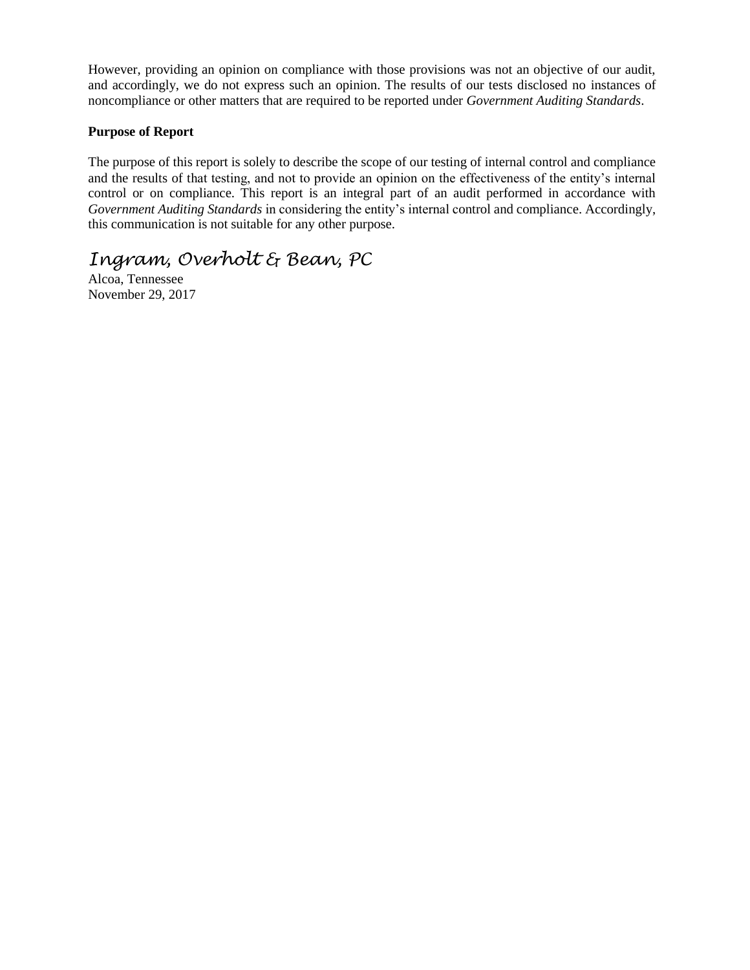However, providing an opinion on compliance with those provisions was not an objective of our audit, and accordingly, we do not express such an opinion. The results of our tests disclosed no instances of noncompliance or other matters that are required to be reported under *Government Auditing Standards*.

## **Purpose of Report**

The purpose of this report is solely to describe the scope of our testing of internal control and compliance and the results of that testing, and not to provide an opinion on the effectiveness of the entity's internal control or on compliance. This report is an integral part of an audit performed in accordance with *Government Auditing Standards* in considering the entity's internal control and compliance. Accordingly, this communication is not suitable for any other purpose.

# *Ingram, Overholt & Bean, PC*

Alcoa, Tennessee November 29, 2017